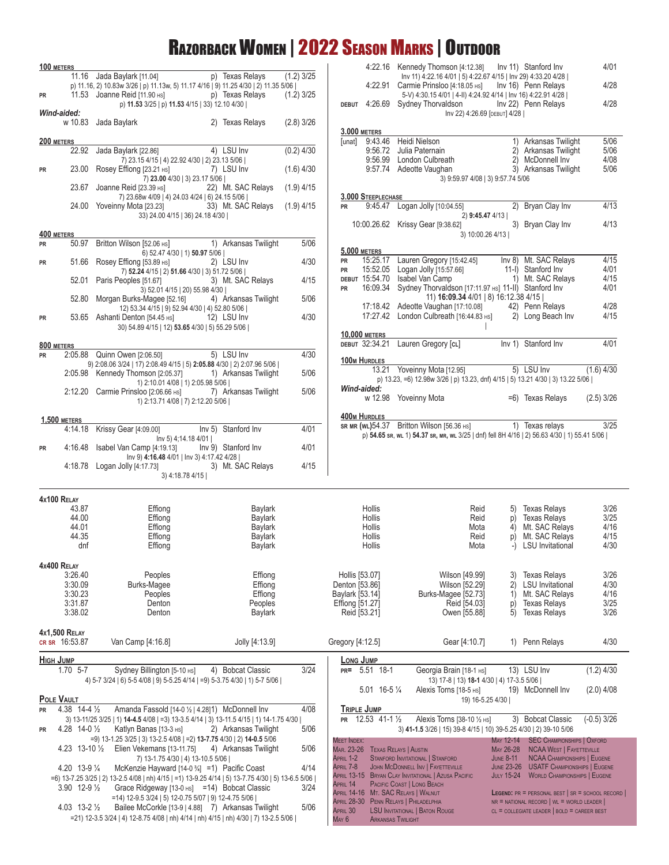# Razorback Women | 2022 Season Marks | Outdoor

| 11.16 Jada Baylark [11.04]<br>p) Texas Relays<br>lnv 11) 4:22.16 4/01   5) 4:22.67 4/15   lnv 29) 4:33.20 4/28  <br>4/28<br>p) 11.16, 2) 10.83w 3/26   p) 11.13w, 5) 11.17 4/16   9) 11.25 4/30   2) 11.35 5/06  <br>4:22.91 Carmie Prinsloo [4:18.05 Hs] Inv 16) Penn Relays<br>p) Texas Relays<br>$(1.2)$ 3/25<br>11.53 Joanne Reid [11.90 HS]<br>5-V) 4:30.15 4/01   4-II) 4:24.92 4/14   Inv 16) 4:22.91 4/28  <br>PR<br>4/28<br>p) 11.53 3/25   p) 11.53 4/15   33) 12.10 4/30  <br>DEBUT 4:26.69 Sydney Thorvaldson<br>Inv 22) Penn Relays<br>Wind-aided:<br>Inv 22) 4:26.69 [DEBUT] 4/28  <br>w 10.83 Jada Baylark<br>$(2.8)$ 3/26<br>2) Texas Relays<br><b>3.000 METERS</b><br>5/06<br>[unat] 9:43.46 Heidi Nielson<br>1) Arkansas Twilight<br>200 METERS<br>4) LSU Inv<br>22.92 Jada Baylark [22.86]<br>$(0.2)$ 4/30<br>5/06<br>9:56.72<br>Julia Paternain<br>2) Arkansas Twilight<br>4/08<br>9:56.99 London Culbreath<br>2) McDonnell Inv<br>7) 23.15 4/15   4) 22.92 4/30   2) 23.13 5/06  <br>Stephen London Cuibreath<br>9:57.74 Adeotte Vaughan<br>5/06<br>23.00 Rosey Effiong [23.21 HS]<br>3) Arkansas Twilight<br>7) LSU Inv<br>$(1.6)$ 4/30<br>PR<br>7) 23.00 4/30   3) 23.17 5/06  <br>3) 9:59.97 4/08   3) 9:57.74 5/06<br>23.67 Joanne Reid [23.39 Hs]<br>22) Mt. SAC Relays<br>$(1.9)$ 4/15<br>3.000 STEEPLECHASE<br>7) 23.68w 4/09   4) 24.03 4/24   6) 24.15 5/06  <br>9:45.47 Logan Jolly [10:04.55]<br>2) Bryan Clay Inv<br>24.00 Yoveinny Mota [23.23]<br>33) Mt. SAC Relays<br>$(1.9)$ 4/15<br><b>PR</b><br>33) 24.00 4/15   36) 24.18 4/30  <br>2) 9:45.47 4/13  <br>4/13<br>3) Bryan Clay Inv<br>10:00.26.62 Krissy Gear [9:38.62]<br>400 METERS<br>3) 10:00.26 4/13  <br>50.97 Britton Wilson [52.06 Hs] 1) Arkansas Twilight<br>5/06<br>PR<br><b>5,000 METERS</b><br>6) 52.47 4/30   1) 50.97 5/06  <br>Lauren Gregory [15:42.45]<br>Inv 8) Mt. SAC Relays<br>15:25.17<br><b>PR</b><br>51.66 Rosey Effiong [53.89 HS]<br>2) LSU Inv<br>4/30<br>PR<br>4/01<br>15:52.05<br>Logan Jolly [15:57.66]<br>11-I) Stanford Inv<br>PR<br>7) 52.24 4/15   2) 51.66 4/30   3) 51.72 5/06  <br>4/15<br>DEBUT 15:54.70<br>Isabel Van Camp<br>1) Mt. SAC Relays<br>52.01 Paris Peoples [51.67]<br>4/15<br>3) Mt. SAC Relays<br>16:09.34<br>4/01<br>Sydney Thorvaldson [17:11.97 Hs] 11-II) Stanford Inv<br><b>PR</b><br>3) 52.01 4/15   20) 55.98 4/30  <br>11) 16:09.34 4/01   8) 16:12.38 4/15  <br>5/06<br>52.80 Morgan Burks-Magee [52.16]<br>4) Arkansas Twilight<br>4/28<br>17:18.42 Adeotte Vaughan [17:10.08] 42) Penn Relays<br>12) 53.34 4/15   9) 52.94 4/30   4) 52.80 5/06  <br>17:27.42 London Culbreath [16:44.83 HS]<br>2) Long Beach Inv<br>4/30<br>12) LSU Inv<br>53.65 Ashanti Denton [54.45 Hs]<br>PR<br>30) 54.89 4/15   12) 53.65 4/30   5) 55.29 5/06  <br><b>10,000 METERS</b><br>Inv 1) Stanford Inv<br>4/01<br>DEBUT 32:34.21 Lauren Gregory [cL]<br>800 METERS<br>2:05.88 Quinn Owen [2:06.50] 5) LSU Inv<br>4/30<br>PR<br><b>100M HURDLES</b><br>9) 2:08.06 3/24   17) 2:08.49 4/15   5) 2:05.88 4/30   2) 2:07.96 5/06  <br>$\mathcal{L}^{\text{max}}_{\text{max}}$ , and $\mathcal{L}^{\text{max}}_{\text{max}}$<br>5) LSU Inv<br>13.21 Yoveinny Mota [12.95]<br>$(1.6)$ 4/30<br>5/06<br>2:05.98 Kennedy Thomson [2:05.37] 1) Arkansas Twilight<br>p) 13.23, =6) 12.98w 3/26   p) 13.23, dnf) 4/15   5) 13.21 4/30   3) 13.22 5/06  <br>1) 2:10.01 4/08   1) 2:05.98 5/06  <br>Wind-aided:<br>5/06<br>$2:12.20$ Carmie Prinsloo [ $2:06.66$ Hs]<br>7) Arkansas Twilight<br>w 12.98 Yoveinny Mota<br>$(2.5)$ 3/26<br>=6) Texas Relays<br>1) 2:13.71 4/08   7) 2:12.20 5/06  <br><b>400M HURDLES</b><br><b>1,500 METERS</b><br>SR MR (WL) 54.37 Britton Wilson [56.36 Hs] 1) Texas relays<br>3/25<br>Inv 5) Stanford Inv<br>4/01<br>4:14.18 Krissy Gear [4:09.00]<br>p) 54.65 sr, wL 1) 54.37 sr, MR, wL 3/25   dnf) fell 8H 4/16   2) 56.63 4/30   1) 55.41 5/06  <br>Inv 5) 4;14.18 4/01  <br>4:16.48 Isabel Van Camp [4:19.13]<br>Inv 9) Stanford Inv<br>4/01<br>PR<br>Inv 9) 4:16.48 4/01   Inv 3) 4:17.42 4/28  <br>4/15<br>4:18.78 Logan Jolly [4:17.73] 3) Mt. SAC Relays<br>3) 4:18.78 4/15  <br>4x100 RELAY<br>43.87<br>Effiong<br><b>Baylark</b><br>Hollis<br>Reid<br>5) Texas Relays<br>44.00<br><b>Texas Relays</b><br>Effiong<br><b>Baylark</b><br>Hollis<br>Reid<br>p)<br>44.01<br>Mt. SAC Relays<br>Effiong<br><b>Baylark</b><br>Hollis<br>Mota<br>4)<br>44.35<br>Reid<br>p) Mt. SAC Relays<br>Effiong<br><b>Baylark</b><br>Hollis<br>dnf<br>Effiong<br><b>Baylark</b><br>Hollis<br>Mota<br>LSU Invitational<br>$-$<br><b>4x400 RELAY</b><br>Effiong<br>Hollis [53.07]<br>3:26.40<br>Peoples<br>Wilson [49.99]<br><b>Texas Relays</b><br>3)<br>3:30.09<br>Burks-Magee<br>Effiong<br>Denton [53.86]<br><b>LSU</b> Invitational<br>Wilson [52.29]<br>2)<br>3:30.23<br>Effiong<br>Baylark [53.14]<br>Burks-Magee [52.73]<br>Mt. SAC Relays<br>Peoples<br>1)<br>3:31.87<br>Effiong [51.27]<br>Reid [54.03]<br><b>Texas Relays</b><br>Denton<br>Peoples<br>p)<br>3:38.02<br>Reid [53.21]<br>5)<br><b>Texas Relays</b><br>Denton<br><b>Baylark</b><br>Owen [55.88]<br><b>4x1.500 RELAY</b><br>CR SR 16:53.87<br>Van Camp [4:16.8]<br>Jolly [4:13.9]<br>Gregory [4:12.5]<br>Gear [4:10.7]<br>1) Penn Relays<br><b>HIGH JUMP</b><br>LONG JUMP<br>3/24<br>1.70 5-7<br>PR= 5.51 18-1<br>13) LSU Inv<br>Sydney Billington [5-10 Hs]<br>4) Bobcat Classic<br>Georgia Brain [18-1 Hs]<br>4) 5-7 3/24   6) 5-5 4/08   9) 5-5.25 4/14   =9) 5-3.75 4/30   1) 5-7 5/06  <br>13) 17-8   13) 18-1 4/30   4) 17-3.5 5/06  <br>5.01 16-5 1/4<br>Alexis Torns [18-5 HS]<br>19) McDonnell Inv<br>POLE VAULT<br>19) 16-5.25 4/30  <br>4/08<br>4.38 14-4 1/2<br><b>TRIPLE JUMP</b><br>Amanda Fassold [14-0 1/2   4.28]1) McDonnell Inv<br><b>PR</b><br>12.53 41-1 1/2<br>3) Bobcat Classic<br>Alexis Torns [38-10 1/2 HS]<br>3) 13-11/25 3/25   1) 14-4.5 4/08   =3) 13-3.5 4/14   3) 13-11.5 4/15   1) 14-1.75 4/30<br><b>PR</b><br>4.28 14-0 1/2<br>Katlyn Banas [13-3 HS]<br>2) Arkansas Twilight<br>5/06<br>3) 41-1.5 3/26   15) 39-8 4/15   10) 39-5.25 4/30   2) 39-10 5/06<br><b>PR</b><br>=9) 13-1.25 3/25   3) 13-2.5 4/08   =2) 13-7.75 4/30   2) 14-0.5 5/06<br><b>MEET INDEX:</b><br><b>SEC CHAMPIONSHIPS   OXFORD</b><br>MAY 12-14<br>5/06<br>4.23 13-10 $\frac{1}{2}$<br>Elien Vekemans [13-11.75]<br>4) Arkansas Twilight<br>MAR. 23-26<br><b>TEXAS RELAYS   AUSTIN</b><br>MAY 26-28<br><b>NCAA WEST   FAYETTEVILLE</b><br>APRIL 1-2<br>STANFORD INVITATIONAL   STANFORD<br><b>NCAA CHAMPIONSHIPS   EUGENE</b><br><b>JUNE 8-11</b><br>7) 13-1.75 4/30   4) 13-10.5 5/06  <br>JOHN MCDONNELL INV   FAYETTEVILLE<br>JUNE 23-26 USATF CHAMPIONSHIPS   EUGENE<br>APRIL 7-8<br>4.20 13-9 1/4<br>4/14<br>McKenzie Hayward $[14-0 \frac{3}{4}]$ = 1) Pacific Coast<br>APRIL 13-15 BRYAN CLAY INVITATIONAL   AZUSA PACIFIC<br><b>JULY 15-24</b><br><b>WORLD CHAMPIONSHIPS   EUGENE</b><br>=6) 13-7.25 3/25   2) 13-2.5 4/08   nh) 4/15   =1) 13-9.25 4/14   5) 13-7.75 4/30   5) 13-6.5 5/06  <br>APRIL 14<br>PACIFIC COAST   LONG BEACH<br>Grace Ridgeway [13-0 $\text{Hs}$ ] = 14) Bobcat Classic | 100 METERS |                              |  |              |          | 4:22.16 Kennedy Thomson [4:12.38] Inv 11) Stanford Inv |  | 4/01                                                                                                 |
|------------------------------------------------------------------------------------------------------------------------------------------------------------------------------------------------------------------------------------------------------------------------------------------------------------------------------------------------------------------------------------------------------------------------------------------------------------------------------------------------------------------------------------------------------------------------------------------------------------------------------------------------------------------------------------------------------------------------------------------------------------------------------------------------------------------------------------------------------------------------------------------------------------------------------------------------------------------------------------------------------------------------------------------------------------------------------------------------------------------------------------------------------------------------------------------------------------------------------------------------------------------------------------------------------------------------------------------------------------------------------------------------------------------------------------------------------------------------------------------------------------------------------------------------------------------------------------------------------------------------------------------------------------------------------------------------------------------------------------------------------------------------------------------------------------------------------------------------------------------------------------------------------------------------------------------------------------------------------------------------------------------------------------------------------------------------------------------------------------------------------------------------------------------------------------------------------------------------------------------------------------------------------------------------------------------------------------------------------------------------------------------------------------------------------------------------------------------------------------------------------------------------------------------------------------------------------------------------------------------------------------------------------------------------------------------------------------------------------------------------------------------------------------------------------------------------------------------------------------------------------------------------------------------------------------------------------------------------------------------------------------------------------------------------------------------------------------------------------------------------------------------------------------------------------------------------------------------------------------------------------------------------------------------------------------------------------------------------------------------------------------------------------------------------------------------------------------------------------------------------------------------------------------------------------------------------------------------------------------------------------------------------------------------------------------------------------------------------------------------------------------------------------------------------------------------------------------------------------------------------------------------------------------------------------------------------------------------------------------------------------------------------------------------------------------------------------------------------------------------------------------------------------------------------------------------------------------------------------------------------------------------------------------------------------------------------------------------------------------------------------------------------------------------------------------------------------------------------------------------------------------------------------------------------------------------------------------------------------------------------------------------------------------------------------------------------------------------------------------------------------------------------------------------------------------------------------------------------------------------------------------------------------------------------------------------------------------------------------------------------------------------------------------------------------------------------------------------------------------------------------------------------------------------------------------------------------------------------------------------------------------------------------------------------------------------------------------------------------------------------------------------------------------------------------------------------------------------------------------------------------------------------------------------------------------------------------------------------------------------------------------------------------------------------------------------------------------------------------------------------------------------------------------------------------------------------------------------------------------------------------------------------------------------------------------------------------------------------------------------------------------------------------------------------------------------------------------------------------------------------------------------------------------------------------------------------------------------------------------------------------------------------------------------------------------------------------------------------------------------------------------------------------------------------------------------------------------------------------------------------------------------------------------------------------------------------------------------------------------------------------------------------------------------------------------------------------------------------------------------------------------------------------------------------------------------------------------------------------------------------------------------------------------------------------------------------------------------------------------------------------------------------------------------------------------------------------------------------------------------------------------------------|------------|------------------------------|--|--------------|----------|--------------------------------------------------------|--|------------------------------------------------------------------------------------------------------|
|                                                                                                                                                                                                                                                                                                                                                                                                                                                                                                                                                                                                                                                                                                                                                                                                                                                                                                                                                                                                                                                                                                                                                                                                                                                                                                                                                                                                                                                                                                                                                                                                                                                                                                                                                                                                                                                                                                                                                                                                                                                                                                                                                                                                                                                                                                                                                                                                                                                                                                                                                                                                                                                                                                                                                                                                                                                                                                                                                                                                                                                                                                                                                                                                                                                                                                                                                                                                                                                                                                                                                                                                                                                                                                                                                                                                                                                                                                                                                                                                                                                                                                                                                                                                                                                                                                                                                                                                                                                                                                                                                                                                                                                                                                                                                                                                                                                                                                                                                                                                                                                                                                                                                                                                                                                                                                                                                                                                                                                                                                                                                                                                                                                                                                                                                                                                                                                                                                                                                                                                                                                                                                                                                                                                                                                                                                                                                                                                                                                                                                                                                                                                                                                                                                                                                                                                                                                                                                                                                                                                                                                                                                                                                |            |                              |  | $(1.2)$ 3/25 |          |                                                        |  |                                                                                                      |
|                                                                                                                                                                                                                                                                                                                                                                                                                                                                                                                                                                                                                                                                                                                                                                                                                                                                                                                                                                                                                                                                                                                                                                                                                                                                                                                                                                                                                                                                                                                                                                                                                                                                                                                                                                                                                                                                                                                                                                                                                                                                                                                                                                                                                                                                                                                                                                                                                                                                                                                                                                                                                                                                                                                                                                                                                                                                                                                                                                                                                                                                                                                                                                                                                                                                                                                                                                                                                                                                                                                                                                                                                                                                                                                                                                                                                                                                                                                                                                                                                                                                                                                                                                                                                                                                                                                                                                                                                                                                                                                                                                                                                                                                                                                                                                                                                                                                                                                                                                                                                                                                                                                                                                                                                                                                                                                                                                                                                                                                                                                                                                                                                                                                                                                                                                                                                                                                                                                                                                                                                                                                                                                                                                                                                                                                                                                                                                                                                                                                                                                                                                                                                                                                                                                                                                                                                                                                                                                                                                                                                                                                                                                                                |            |                              |  |              |          |                                                        |  |                                                                                                      |
|                                                                                                                                                                                                                                                                                                                                                                                                                                                                                                                                                                                                                                                                                                                                                                                                                                                                                                                                                                                                                                                                                                                                                                                                                                                                                                                                                                                                                                                                                                                                                                                                                                                                                                                                                                                                                                                                                                                                                                                                                                                                                                                                                                                                                                                                                                                                                                                                                                                                                                                                                                                                                                                                                                                                                                                                                                                                                                                                                                                                                                                                                                                                                                                                                                                                                                                                                                                                                                                                                                                                                                                                                                                                                                                                                                                                                                                                                                                                                                                                                                                                                                                                                                                                                                                                                                                                                                                                                                                                                                                                                                                                                                                                                                                                                                                                                                                                                                                                                                                                                                                                                                                                                                                                                                                                                                                                                                                                                                                                                                                                                                                                                                                                                                                                                                                                                                                                                                                                                                                                                                                                                                                                                                                                                                                                                                                                                                                                                                                                                                                                                                                                                                                                                                                                                                                                                                                                                                                                                                                                                                                                                                                                                |            |                              |  |              |          |                                                        |  |                                                                                                      |
|                                                                                                                                                                                                                                                                                                                                                                                                                                                                                                                                                                                                                                                                                                                                                                                                                                                                                                                                                                                                                                                                                                                                                                                                                                                                                                                                                                                                                                                                                                                                                                                                                                                                                                                                                                                                                                                                                                                                                                                                                                                                                                                                                                                                                                                                                                                                                                                                                                                                                                                                                                                                                                                                                                                                                                                                                                                                                                                                                                                                                                                                                                                                                                                                                                                                                                                                                                                                                                                                                                                                                                                                                                                                                                                                                                                                                                                                                                                                                                                                                                                                                                                                                                                                                                                                                                                                                                                                                                                                                                                                                                                                                                                                                                                                                                                                                                                                                                                                                                                                                                                                                                                                                                                                                                                                                                                                                                                                                                                                                                                                                                                                                                                                                                                                                                                                                                                                                                                                                                                                                                                                                                                                                                                                                                                                                                                                                                                                                                                                                                                                                                                                                                                                                                                                                                                                                                                                                                                                                                                                                                                                                                                                                |            |                              |  |              |          |                                                        |  |                                                                                                      |
|                                                                                                                                                                                                                                                                                                                                                                                                                                                                                                                                                                                                                                                                                                                                                                                                                                                                                                                                                                                                                                                                                                                                                                                                                                                                                                                                                                                                                                                                                                                                                                                                                                                                                                                                                                                                                                                                                                                                                                                                                                                                                                                                                                                                                                                                                                                                                                                                                                                                                                                                                                                                                                                                                                                                                                                                                                                                                                                                                                                                                                                                                                                                                                                                                                                                                                                                                                                                                                                                                                                                                                                                                                                                                                                                                                                                                                                                                                                                                                                                                                                                                                                                                                                                                                                                                                                                                                                                                                                                                                                                                                                                                                                                                                                                                                                                                                                                                                                                                                                                                                                                                                                                                                                                                                                                                                                                                                                                                                                                                                                                                                                                                                                                                                                                                                                                                                                                                                                                                                                                                                                                                                                                                                                                                                                                                                                                                                                                                                                                                                                                                                                                                                                                                                                                                                                                                                                                                                                                                                                                                                                                                                                                                |            |                              |  |              |          |                                                        |  |                                                                                                      |
|                                                                                                                                                                                                                                                                                                                                                                                                                                                                                                                                                                                                                                                                                                                                                                                                                                                                                                                                                                                                                                                                                                                                                                                                                                                                                                                                                                                                                                                                                                                                                                                                                                                                                                                                                                                                                                                                                                                                                                                                                                                                                                                                                                                                                                                                                                                                                                                                                                                                                                                                                                                                                                                                                                                                                                                                                                                                                                                                                                                                                                                                                                                                                                                                                                                                                                                                                                                                                                                                                                                                                                                                                                                                                                                                                                                                                                                                                                                                                                                                                                                                                                                                                                                                                                                                                                                                                                                                                                                                                                                                                                                                                                                                                                                                                                                                                                                                                                                                                                                                                                                                                                                                                                                                                                                                                                                                                                                                                                                                                                                                                                                                                                                                                                                                                                                                                                                                                                                                                                                                                                                                                                                                                                                                                                                                                                                                                                                                                                                                                                                                                                                                                                                                                                                                                                                                                                                                                                                                                                                                                                                                                                                                                |            |                              |  |              |          |                                                        |  |                                                                                                      |
|                                                                                                                                                                                                                                                                                                                                                                                                                                                                                                                                                                                                                                                                                                                                                                                                                                                                                                                                                                                                                                                                                                                                                                                                                                                                                                                                                                                                                                                                                                                                                                                                                                                                                                                                                                                                                                                                                                                                                                                                                                                                                                                                                                                                                                                                                                                                                                                                                                                                                                                                                                                                                                                                                                                                                                                                                                                                                                                                                                                                                                                                                                                                                                                                                                                                                                                                                                                                                                                                                                                                                                                                                                                                                                                                                                                                                                                                                                                                                                                                                                                                                                                                                                                                                                                                                                                                                                                                                                                                                                                                                                                                                                                                                                                                                                                                                                                                                                                                                                                                                                                                                                                                                                                                                                                                                                                                                                                                                                                                                                                                                                                                                                                                                                                                                                                                                                                                                                                                                                                                                                                                                                                                                                                                                                                                                                                                                                                                                                                                                                                                                                                                                                                                                                                                                                                                                                                                                                                                                                                                                                                                                                                                                |            |                              |  |              |          |                                                        |  |                                                                                                      |
|                                                                                                                                                                                                                                                                                                                                                                                                                                                                                                                                                                                                                                                                                                                                                                                                                                                                                                                                                                                                                                                                                                                                                                                                                                                                                                                                                                                                                                                                                                                                                                                                                                                                                                                                                                                                                                                                                                                                                                                                                                                                                                                                                                                                                                                                                                                                                                                                                                                                                                                                                                                                                                                                                                                                                                                                                                                                                                                                                                                                                                                                                                                                                                                                                                                                                                                                                                                                                                                                                                                                                                                                                                                                                                                                                                                                                                                                                                                                                                                                                                                                                                                                                                                                                                                                                                                                                                                                                                                                                                                                                                                                                                                                                                                                                                                                                                                                                                                                                                                                                                                                                                                                                                                                                                                                                                                                                                                                                                                                                                                                                                                                                                                                                                                                                                                                                                                                                                                                                                                                                                                                                                                                                                                                                                                                                                                                                                                                                                                                                                                                                                                                                                                                                                                                                                                                                                                                                                                                                                                                                                                                                                                                                |            |                              |  |              |          |                                                        |  |                                                                                                      |
|                                                                                                                                                                                                                                                                                                                                                                                                                                                                                                                                                                                                                                                                                                                                                                                                                                                                                                                                                                                                                                                                                                                                                                                                                                                                                                                                                                                                                                                                                                                                                                                                                                                                                                                                                                                                                                                                                                                                                                                                                                                                                                                                                                                                                                                                                                                                                                                                                                                                                                                                                                                                                                                                                                                                                                                                                                                                                                                                                                                                                                                                                                                                                                                                                                                                                                                                                                                                                                                                                                                                                                                                                                                                                                                                                                                                                                                                                                                                                                                                                                                                                                                                                                                                                                                                                                                                                                                                                                                                                                                                                                                                                                                                                                                                                                                                                                                                                                                                                                                                                                                                                                                                                                                                                                                                                                                                                                                                                                                                                                                                                                                                                                                                                                                                                                                                                                                                                                                                                                                                                                                                                                                                                                                                                                                                                                                                                                                                                                                                                                                                                                                                                                                                                                                                                                                                                                                                                                                                                                                                                                                                                                                                                |            |                              |  |              |          |                                                        |  |                                                                                                      |
|                                                                                                                                                                                                                                                                                                                                                                                                                                                                                                                                                                                                                                                                                                                                                                                                                                                                                                                                                                                                                                                                                                                                                                                                                                                                                                                                                                                                                                                                                                                                                                                                                                                                                                                                                                                                                                                                                                                                                                                                                                                                                                                                                                                                                                                                                                                                                                                                                                                                                                                                                                                                                                                                                                                                                                                                                                                                                                                                                                                                                                                                                                                                                                                                                                                                                                                                                                                                                                                                                                                                                                                                                                                                                                                                                                                                                                                                                                                                                                                                                                                                                                                                                                                                                                                                                                                                                                                                                                                                                                                                                                                                                                                                                                                                                                                                                                                                                                                                                                                                                                                                                                                                                                                                                                                                                                                                                                                                                                                                                                                                                                                                                                                                                                                                                                                                                                                                                                                                                                                                                                                                                                                                                                                                                                                                                                                                                                                                                                                                                                                                                                                                                                                                                                                                                                                                                                                                                                                                                                                                                                                                                                                                                |            |                              |  |              |          |                                                        |  |                                                                                                      |
|                                                                                                                                                                                                                                                                                                                                                                                                                                                                                                                                                                                                                                                                                                                                                                                                                                                                                                                                                                                                                                                                                                                                                                                                                                                                                                                                                                                                                                                                                                                                                                                                                                                                                                                                                                                                                                                                                                                                                                                                                                                                                                                                                                                                                                                                                                                                                                                                                                                                                                                                                                                                                                                                                                                                                                                                                                                                                                                                                                                                                                                                                                                                                                                                                                                                                                                                                                                                                                                                                                                                                                                                                                                                                                                                                                                                                                                                                                                                                                                                                                                                                                                                                                                                                                                                                                                                                                                                                                                                                                                                                                                                                                                                                                                                                                                                                                                                                                                                                                                                                                                                                                                                                                                                                                                                                                                                                                                                                                                                                                                                                                                                                                                                                                                                                                                                                                                                                                                                                                                                                                                                                                                                                                                                                                                                                                                                                                                                                                                                                                                                                                                                                                                                                                                                                                                                                                                                                                                                                                                                                                                                                                                                                |            |                              |  |              |          |                                                        |  |                                                                                                      |
|                                                                                                                                                                                                                                                                                                                                                                                                                                                                                                                                                                                                                                                                                                                                                                                                                                                                                                                                                                                                                                                                                                                                                                                                                                                                                                                                                                                                                                                                                                                                                                                                                                                                                                                                                                                                                                                                                                                                                                                                                                                                                                                                                                                                                                                                                                                                                                                                                                                                                                                                                                                                                                                                                                                                                                                                                                                                                                                                                                                                                                                                                                                                                                                                                                                                                                                                                                                                                                                                                                                                                                                                                                                                                                                                                                                                                                                                                                                                                                                                                                                                                                                                                                                                                                                                                                                                                                                                                                                                                                                                                                                                                                                                                                                                                                                                                                                                                                                                                                                                                                                                                                                                                                                                                                                                                                                                                                                                                                                                                                                                                                                                                                                                                                                                                                                                                                                                                                                                                                                                                                                                                                                                                                                                                                                                                                                                                                                                                                                                                                                                                                                                                                                                                                                                                                                                                                                                                                                                                                                                                                                                                                                                                |            |                              |  |              |          |                                                        |  |                                                                                                      |
|                                                                                                                                                                                                                                                                                                                                                                                                                                                                                                                                                                                                                                                                                                                                                                                                                                                                                                                                                                                                                                                                                                                                                                                                                                                                                                                                                                                                                                                                                                                                                                                                                                                                                                                                                                                                                                                                                                                                                                                                                                                                                                                                                                                                                                                                                                                                                                                                                                                                                                                                                                                                                                                                                                                                                                                                                                                                                                                                                                                                                                                                                                                                                                                                                                                                                                                                                                                                                                                                                                                                                                                                                                                                                                                                                                                                                                                                                                                                                                                                                                                                                                                                                                                                                                                                                                                                                                                                                                                                                                                                                                                                                                                                                                                                                                                                                                                                                                                                                                                                                                                                                                                                                                                                                                                                                                                                                                                                                                                                                                                                                                                                                                                                                                                                                                                                                                                                                                                                                                                                                                                                                                                                                                                                                                                                                                                                                                                                                                                                                                                                                                                                                                                                                                                                                                                                                                                                                                                                                                                                                                                                                                                                                |            |                              |  |              |          |                                                        |  | 4/13                                                                                                 |
|                                                                                                                                                                                                                                                                                                                                                                                                                                                                                                                                                                                                                                                                                                                                                                                                                                                                                                                                                                                                                                                                                                                                                                                                                                                                                                                                                                                                                                                                                                                                                                                                                                                                                                                                                                                                                                                                                                                                                                                                                                                                                                                                                                                                                                                                                                                                                                                                                                                                                                                                                                                                                                                                                                                                                                                                                                                                                                                                                                                                                                                                                                                                                                                                                                                                                                                                                                                                                                                                                                                                                                                                                                                                                                                                                                                                                                                                                                                                                                                                                                                                                                                                                                                                                                                                                                                                                                                                                                                                                                                                                                                                                                                                                                                                                                                                                                                                                                                                                                                                                                                                                                                                                                                                                                                                                                                                                                                                                                                                                                                                                                                                                                                                                                                                                                                                                                                                                                                                                                                                                                                                                                                                                                                                                                                                                                                                                                                                                                                                                                                                                                                                                                                                                                                                                                                                                                                                                                                                                                                                                                                                                                                                                |            |                              |  |              |          |                                                        |  |                                                                                                      |
|                                                                                                                                                                                                                                                                                                                                                                                                                                                                                                                                                                                                                                                                                                                                                                                                                                                                                                                                                                                                                                                                                                                                                                                                                                                                                                                                                                                                                                                                                                                                                                                                                                                                                                                                                                                                                                                                                                                                                                                                                                                                                                                                                                                                                                                                                                                                                                                                                                                                                                                                                                                                                                                                                                                                                                                                                                                                                                                                                                                                                                                                                                                                                                                                                                                                                                                                                                                                                                                                                                                                                                                                                                                                                                                                                                                                                                                                                                                                                                                                                                                                                                                                                                                                                                                                                                                                                                                                                                                                                                                                                                                                                                                                                                                                                                                                                                                                                                                                                                                                                                                                                                                                                                                                                                                                                                                                                                                                                                                                                                                                                                                                                                                                                                                                                                                                                                                                                                                                                                                                                                                                                                                                                                                                                                                                                                                                                                                                                                                                                                                                                                                                                                                                                                                                                                                                                                                                                                                                                                                                                                                                                                                                                |            |                              |  |              |          |                                                        |  |                                                                                                      |
|                                                                                                                                                                                                                                                                                                                                                                                                                                                                                                                                                                                                                                                                                                                                                                                                                                                                                                                                                                                                                                                                                                                                                                                                                                                                                                                                                                                                                                                                                                                                                                                                                                                                                                                                                                                                                                                                                                                                                                                                                                                                                                                                                                                                                                                                                                                                                                                                                                                                                                                                                                                                                                                                                                                                                                                                                                                                                                                                                                                                                                                                                                                                                                                                                                                                                                                                                                                                                                                                                                                                                                                                                                                                                                                                                                                                                                                                                                                                                                                                                                                                                                                                                                                                                                                                                                                                                                                                                                                                                                                                                                                                                                                                                                                                                                                                                                                                                                                                                                                                                                                                                                                                                                                                                                                                                                                                                                                                                                                                                                                                                                                                                                                                                                                                                                                                                                                                                                                                                                                                                                                                                                                                                                                                                                                                                                                                                                                                                                                                                                                                                                                                                                                                                                                                                                                                                                                                                                                                                                                                                                                                                                                                                |            |                              |  |              |          |                                                        |  |                                                                                                      |
|                                                                                                                                                                                                                                                                                                                                                                                                                                                                                                                                                                                                                                                                                                                                                                                                                                                                                                                                                                                                                                                                                                                                                                                                                                                                                                                                                                                                                                                                                                                                                                                                                                                                                                                                                                                                                                                                                                                                                                                                                                                                                                                                                                                                                                                                                                                                                                                                                                                                                                                                                                                                                                                                                                                                                                                                                                                                                                                                                                                                                                                                                                                                                                                                                                                                                                                                                                                                                                                                                                                                                                                                                                                                                                                                                                                                                                                                                                                                                                                                                                                                                                                                                                                                                                                                                                                                                                                                                                                                                                                                                                                                                                                                                                                                                                                                                                                                                                                                                                                                                                                                                                                                                                                                                                                                                                                                                                                                                                                                                                                                                                                                                                                                                                                                                                                                                                                                                                                                                                                                                                                                                                                                                                                                                                                                                                                                                                                                                                                                                                                                                                                                                                                                                                                                                                                                                                                                                                                                                                                                                                                                                                                                                |            |                              |  |              |          |                                                        |  |                                                                                                      |
|                                                                                                                                                                                                                                                                                                                                                                                                                                                                                                                                                                                                                                                                                                                                                                                                                                                                                                                                                                                                                                                                                                                                                                                                                                                                                                                                                                                                                                                                                                                                                                                                                                                                                                                                                                                                                                                                                                                                                                                                                                                                                                                                                                                                                                                                                                                                                                                                                                                                                                                                                                                                                                                                                                                                                                                                                                                                                                                                                                                                                                                                                                                                                                                                                                                                                                                                                                                                                                                                                                                                                                                                                                                                                                                                                                                                                                                                                                                                                                                                                                                                                                                                                                                                                                                                                                                                                                                                                                                                                                                                                                                                                                                                                                                                                                                                                                                                                                                                                                                                                                                                                                                                                                                                                                                                                                                                                                                                                                                                                                                                                                                                                                                                                                                                                                                                                                                                                                                                                                                                                                                                                                                                                                                                                                                                                                                                                                                                                                                                                                                                                                                                                                                                                                                                                                                                                                                                                                                                                                                                                                                                                                                                                |            |                              |  |              |          |                                                        |  | 4/15                                                                                                 |
|                                                                                                                                                                                                                                                                                                                                                                                                                                                                                                                                                                                                                                                                                                                                                                                                                                                                                                                                                                                                                                                                                                                                                                                                                                                                                                                                                                                                                                                                                                                                                                                                                                                                                                                                                                                                                                                                                                                                                                                                                                                                                                                                                                                                                                                                                                                                                                                                                                                                                                                                                                                                                                                                                                                                                                                                                                                                                                                                                                                                                                                                                                                                                                                                                                                                                                                                                                                                                                                                                                                                                                                                                                                                                                                                                                                                                                                                                                                                                                                                                                                                                                                                                                                                                                                                                                                                                                                                                                                                                                                                                                                                                                                                                                                                                                                                                                                                                                                                                                                                                                                                                                                                                                                                                                                                                                                                                                                                                                                                                                                                                                                                                                                                                                                                                                                                                                                                                                                                                                                                                                                                                                                                                                                                                                                                                                                                                                                                                                                                                                                                                                                                                                                                                                                                                                                                                                                                                                                                                                                                                                                                                                                                                |            |                              |  |              |          |                                                        |  |                                                                                                      |
|                                                                                                                                                                                                                                                                                                                                                                                                                                                                                                                                                                                                                                                                                                                                                                                                                                                                                                                                                                                                                                                                                                                                                                                                                                                                                                                                                                                                                                                                                                                                                                                                                                                                                                                                                                                                                                                                                                                                                                                                                                                                                                                                                                                                                                                                                                                                                                                                                                                                                                                                                                                                                                                                                                                                                                                                                                                                                                                                                                                                                                                                                                                                                                                                                                                                                                                                                                                                                                                                                                                                                                                                                                                                                                                                                                                                                                                                                                                                                                                                                                                                                                                                                                                                                                                                                                                                                                                                                                                                                                                                                                                                                                                                                                                                                                                                                                                                                                                                                                                                                                                                                                                                                                                                                                                                                                                                                                                                                                                                                                                                                                                                                                                                                                                                                                                                                                                                                                                                                                                                                                                                                                                                                                                                                                                                                                                                                                                                                                                                                                                                                                                                                                                                                                                                                                                                                                                                                                                                                                                                                                                                                                                                                |            |                              |  |              |          |                                                        |  |                                                                                                      |
|                                                                                                                                                                                                                                                                                                                                                                                                                                                                                                                                                                                                                                                                                                                                                                                                                                                                                                                                                                                                                                                                                                                                                                                                                                                                                                                                                                                                                                                                                                                                                                                                                                                                                                                                                                                                                                                                                                                                                                                                                                                                                                                                                                                                                                                                                                                                                                                                                                                                                                                                                                                                                                                                                                                                                                                                                                                                                                                                                                                                                                                                                                                                                                                                                                                                                                                                                                                                                                                                                                                                                                                                                                                                                                                                                                                                                                                                                                                                                                                                                                                                                                                                                                                                                                                                                                                                                                                                                                                                                                                                                                                                                                                                                                                                                                                                                                                                                                                                                                                                                                                                                                                                                                                                                                                                                                                                                                                                                                                                                                                                                                                                                                                                                                                                                                                                                                                                                                                                                                                                                                                                                                                                                                                                                                                                                                                                                                                                                                                                                                                                                                                                                                                                                                                                                                                                                                                                                                                                                                                                                                                                                                                                                |            |                              |  |              |          |                                                        |  |                                                                                                      |
|                                                                                                                                                                                                                                                                                                                                                                                                                                                                                                                                                                                                                                                                                                                                                                                                                                                                                                                                                                                                                                                                                                                                                                                                                                                                                                                                                                                                                                                                                                                                                                                                                                                                                                                                                                                                                                                                                                                                                                                                                                                                                                                                                                                                                                                                                                                                                                                                                                                                                                                                                                                                                                                                                                                                                                                                                                                                                                                                                                                                                                                                                                                                                                                                                                                                                                                                                                                                                                                                                                                                                                                                                                                                                                                                                                                                                                                                                                                                                                                                                                                                                                                                                                                                                                                                                                                                                                                                                                                                                                                                                                                                                                                                                                                                                                                                                                                                                                                                                                                                                                                                                                                                                                                                                                                                                                                                                                                                                                                                                                                                                                                                                                                                                                                                                                                                                                                                                                                                                                                                                                                                                                                                                                                                                                                                                                                                                                                                                                                                                                                                                                                                                                                                                                                                                                                                                                                                                                                                                                                                                                                                                                                                                |            |                              |  |              |          |                                                        |  |                                                                                                      |
|                                                                                                                                                                                                                                                                                                                                                                                                                                                                                                                                                                                                                                                                                                                                                                                                                                                                                                                                                                                                                                                                                                                                                                                                                                                                                                                                                                                                                                                                                                                                                                                                                                                                                                                                                                                                                                                                                                                                                                                                                                                                                                                                                                                                                                                                                                                                                                                                                                                                                                                                                                                                                                                                                                                                                                                                                                                                                                                                                                                                                                                                                                                                                                                                                                                                                                                                                                                                                                                                                                                                                                                                                                                                                                                                                                                                                                                                                                                                                                                                                                                                                                                                                                                                                                                                                                                                                                                                                                                                                                                                                                                                                                                                                                                                                                                                                                                                                                                                                                                                                                                                                                                                                                                                                                                                                                                                                                                                                                                                                                                                                                                                                                                                                                                                                                                                                                                                                                                                                                                                                                                                                                                                                                                                                                                                                                                                                                                                                                                                                                                                                                                                                                                                                                                                                                                                                                                                                                                                                                                                                                                                                                                                                |            |                              |  |              |          |                                                        |  | 4/15                                                                                                 |
|                                                                                                                                                                                                                                                                                                                                                                                                                                                                                                                                                                                                                                                                                                                                                                                                                                                                                                                                                                                                                                                                                                                                                                                                                                                                                                                                                                                                                                                                                                                                                                                                                                                                                                                                                                                                                                                                                                                                                                                                                                                                                                                                                                                                                                                                                                                                                                                                                                                                                                                                                                                                                                                                                                                                                                                                                                                                                                                                                                                                                                                                                                                                                                                                                                                                                                                                                                                                                                                                                                                                                                                                                                                                                                                                                                                                                                                                                                                                                                                                                                                                                                                                                                                                                                                                                                                                                                                                                                                                                                                                                                                                                                                                                                                                                                                                                                                                                                                                                                                                                                                                                                                                                                                                                                                                                                                                                                                                                                                                                                                                                                                                                                                                                                                                                                                                                                                                                                                                                                                                                                                                                                                                                                                                                                                                                                                                                                                                                                                                                                                                                                                                                                                                                                                                                                                                                                                                                                                                                                                                                                                                                                                                                |            |                              |  |              |          |                                                        |  |                                                                                                      |
|                                                                                                                                                                                                                                                                                                                                                                                                                                                                                                                                                                                                                                                                                                                                                                                                                                                                                                                                                                                                                                                                                                                                                                                                                                                                                                                                                                                                                                                                                                                                                                                                                                                                                                                                                                                                                                                                                                                                                                                                                                                                                                                                                                                                                                                                                                                                                                                                                                                                                                                                                                                                                                                                                                                                                                                                                                                                                                                                                                                                                                                                                                                                                                                                                                                                                                                                                                                                                                                                                                                                                                                                                                                                                                                                                                                                                                                                                                                                                                                                                                                                                                                                                                                                                                                                                                                                                                                                                                                                                                                                                                                                                                                                                                                                                                                                                                                                                                                                                                                                                                                                                                                                                                                                                                                                                                                                                                                                                                                                                                                                                                                                                                                                                                                                                                                                                                                                                                                                                                                                                                                                                                                                                                                                                                                                                                                                                                                                                                                                                                                                                                                                                                                                                                                                                                                                                                                                                                                                                                                                                                                                                                                                                |            |                              |  |              |          |                                                        |  |                                                                                                      |
|                                                                                                                                                                                                                                                                                                                                                                                                                                                                                                                                                                                                                                                                                                                                                                                                                                                                                                                                                                                                                                                                                                                                                                                                                                                                                                                                                                                                                                                                                                                                                                                                                                                                                                                                                                                                                                                                                                                                                                                                                                                                                                                                                                                                                                                                                                                                                                                                                                                                                                                                                                                                                                                                                                                                                                                                                                                                                                                                                                                                                                                                                                                                                                                                                                                                                                                                                                                                                                                                                                                                                                                                                                                                                                                                                                                                                                                                                                                                                                                                                                                                                                                                                                                                                                                                                                                                                                                                                                                                                                                                                                                                                                                                                                                                                                                                                                                                                                                                                                                                                                                                                                                                                                                                                                                                                                                                                                                                                                                                                                                                                                                                                                                                                                                                                                                                                                                                                                                                                                                                                                                                                                                                                                                                                                                                                                                                                                                                                                                                                                                                                                                                                                                                                                                                                                                                                                                                                                                                                                                                                                                                                                                                                |            |                              |  |              |          |                                                        |  |                                                                                                      |
|                                                                                                                                                                                                                                                                                                                                                                                                                                                                                                                                                                                                                                                                                                                                                                                                                                                                                                                                                                                                                                                                                                                                                                                                                                                                                                                                                                                                                                                                                                                                                                                                                                                                                                                                                                                                                                                                                                                                                                                                                                                                                                                                                                                                                                                                                                                                                                                                                                                                                                                                                                                                                                                                                                                                                                                                                                                                                                                                                                                                                                                                                                                                                                                                                                                                                                                                                                                                                                                                                                                                                                                                                                                                                                                                                                                                                                                                                                                                                                                                                                                                                                                                                                                                                                                                                                                                                                                                                                                                                                                                                                                                                                                                                                                                                                                                                                                                                                                                                                                                                                                                                                                                                                                                                                                                                                                                                                                                                                                                                                                                                                                                                                                                                                                                                                                                                                                                                                                                                                                                                                                                                                                                                                                                                                                                                                                                                                                                                                                                                                                                                                                                                                                                                                                                                                                                                                                                                                                                                                                                                                                                                                                                                |            |                              |  |              |          |                                                        |  |                                                                                                      |
|                                                                                                                                                                                                                                                                                                                                                                                                                                                                                                                                                                                                                                                                                                                                                                                                                                                                                                                                                                                                                                                                                                                                                                                                                                                                                                                                                                                                                                                                                                                                                                                                                                                                                                                                                                                                                                                                                                                                                                                                                                                                                                                                                                                                                                                                                                                                                                                                                                                                                                                                                                                                                                                                                                                                                                                                                                                                                                                                                                                                                                                                                                                                                                                                                                                                                                                                                                                                                                                                                                                                                                                                                                                                                                                                                                                                                                                                                                                                                                                                                                                                                                                                                                                                                                                                                                                                                                                                                                                                                                                                                                                                                                                                                                                                                                                                                                                                                                                                                                                                                                                                                                                                                                                                                                                                                                                                                                                                                                                                                                                                                                                                                                                                                                                                                                                                                                                                                                                                                                                                                                                                                                                                                                                                                                                                                                                                                                                                                                                                                                                                                                                                                                                                                                                                                                                                                                                                                                                                                                                                                                                                                                                                                |            |                              |  |              |          |                                                        |  |                                                                                                      |
|                                                                                                                                                                                                                                                                                                                                                                                                                                                                                                                                                                                                                                                                                                                                                                                                                                                                                                                                                                                                                                                                                                                                                                                                                                                                                                                                                                                                                                                                                                                                                                                                                                                                                                                                                                                                                                                                                                                                                                                                                                                                                                                                                                                                                                                                                                                                                                                                                                                                                                                                                                                                                                                                                                                                                                                                                                                                                                                                                                                                                                                                                                                                                                                                                                                                                                                                                                                                                                                                                                                                                                                                                                                                                                                                                                                                                                                                                                                                                                                                                                                                                                                                                                                                                                                                                                                                                                                                                                                                                                                                                                                                                                                                                                                                                                                                                                                                                                                                                                                                                                                                                                                                                                                                                                                                                                                                                                                                                                                                                                                                                                                                                                                                                                                                                                                                                                                                                                                                                                                                                                                                                                                                                                                                                                                                                                                                                                                                                                                                                                                                                                                                                                                                                                                                                                                                                                                                                                                                                                                                                                                                                                                                                |            |                              |  |              |          |                                                        |  |                                                                                                      |
|                                                                                                                                                                                                                                                                                                                                                                                                                                                                                                                                                                                                                                                                                                                                                                                                                                                                                                                                                                                                                                                                                                                                                                                                                                                                                                                                                                                                                                                                                                                                                                                                                                                                                                                                                                                                                                                                                                                                                                                                                                                                                                                                                                                                                                                                                                                                                                                                                                                                                                                                                                                                                                                                                                                                                                                                                                                                                                                                                                                                                                                                                                                                                                                                                                                                                                                                                                                                                                                                                                                                                                                                                                                                                                                                                                                                                                                                                                                                                                                                                                                                                                                                                                                                                                                                                                                                                                                                                                                                                                                                                                                                                                                                                                                                                                                                                                                                                                                                                                                                                                                                                                                                                                                                                                                                                                                                                                                                                                                                                                                                                                                                                                                                                                                                                                                                                                                                                                                                                                                                                                                                                                                                                                                                                                                                                                                                                                                                                                                                                                                                                                                                                                                                                                                                                                                                                                                                                                                                                                                                                                                                                                                                                |            |                              |  |              |          |                                                        |  |                                                                                                      |
|                                                                                                                                                                                                                                                                                                                                                                                                                                                                                                                                                                                                                                                                                                                                                                                                                                                                                                                                                                                                                                                                                                                                                                                                                                                                                                                                                                                                                                                                                                                                                                                                                                                                                                                                                                                                                                                                                                                                                                                                                                                                                                                                                                                                                                                                                                                                                                                                                                                                                                                                                                                                                                                                                                                                                                                                                                                                                                                                                                                                                                                                                                                                                                                                                                                                                                                                                                                                                                                                                                                                                                                                                                                                                                                                                                                                                                                                                                                                                                                                                                                                                                                                                                                                                                                                                                                                                                                                                                                                                                                                                                                                                                                                                                                                                                                                                                                                                                                                                                                                                                                                                                                                                                                                                                                                                                                                                                                                                                                                                                                                                                                                                                                                                                                                                                                                                                                                                                                                                                                                                                                                                                                                                                                                                                                                                                                                                                                                                                                                                                                                                                                                                                                                                                                                                                                                                                                                                                                                                                                                                                                                                                                                                |            |                              |  |              |          |                                                        |  |                                                                                                      |
|                                                                                                                                                                                                                                                                                                                                                                                                                                                                                                                                                                                                                                                                                                                                                                                                                                                                                                                                                                                                                                                                                                                                                                                                                                                                                                                                                                                                                                                                                                                                                                                                                                                                                                                                                                                                                                                                                                                                                                                                                                                                                                                                                                                                                                                                                                                                                                                                                                                                                                                                                                                                                                                                                                                                                                                                                                                                                                                                                                                                                                                                                                                                                                                                                                                                                                                                                                                                                                                                                                                                                                                                                                                                                                                                                                                                                                                                                                                                                                                                                                                                                                                                                                                                                                                                                                                                                                                                                                                                                                                                                                                                                                                                                                                                                                                                                                                                                                                                                                                                                                                                                                                                                                                                                                                                                                                                                                                                                                                                                                                                                                                                                                                                                                                                                                                                                                                                                                                                                                                                                                                                                                                                                                                                                                                                                                                                                                                                                                                                                                                                                                                                                                                                                                                                                                                                                                                                                                                                                                                                                                                                                                                                                |            |                              |  |              |          |                                                        |  |                                                                                                      |
|                                                                                                                                                                                                                                                                                                                                                                                                                                                                                                                                                                                                                                                                                                                                                                                                                                                                                                                                                                                                                                                                                                                                                                                                                                                                                                                                                                                                                                                                                                                                                                                                                                                                                                                                                                                                                                                                                                                                                                                                                                                                                                                                                                                                                                                                                                                                                                                                                                                                                                                                                                                                                                                                                                                                                                                                                                                                                                                                                                                                                                                                                                                                                                                                                                                                                                                                                                                                                                                                                                                                                                                                                                                                                                                                                                                                                                                                                                                                                                                                                                                                                                                                                                                                                                                                                                                                                                                                                                                                                                                                                                                                                                                                                                                                                                                                                                                                                                                                                                                                                                                                                                                                                                                                                                                                                                                                                                                                                                                                                                                                                                                                                                                                                                                                                                                                                                                                                                                                                                                                                                                                                                                                                                                                                                                                                                                                                                                                                                                                                                                                                                                                                                                                                                                                                                                                                                                                                                                                                                                                                                                                                                                                                |            |                              |  |              |          |                                                        |  |                                                                                                      |
|                                                                                                                                                                                                                                                                                                                                                                                                                                                                                                                                                                                                                                                                                                                                                                                                                                                                                                                                                                                                                                                                                                                                                                                                                                                                                                                                                                                                                                                                                                                                                                                                                                                                                                                                                                                                                                                                                                                                                                                                                                                                                                                                                                                                                                                                                                                                                                                                                                                                                                                                                                                                                                                                                                                                                                                                                                                                                                                                                                                                                                                                                                                                                                                                                                                                                                                                                                                                                                                                                                                                                                                                                                                                                                                                                                                                                                                                                                                                                                                                                                                                                                                                                                                                                                                                                                                                                                                                                                                                                                                                                                                                                                                                                                                                                                                                                                                                                                                                                                                                                                                                                                                                                                                                                                                                                                                                                                                                                                                                                                                                                                                                                                                                                                                                                                                                                                                                                                                                                                                                                                                                                                                                                                                                                                                                                                                                                                                                                                                                                                                                                                                                                                                                                                                                                                                                                                                                                                                                                                                                                                                                                                                                                |            |                              |  |              |          |                                                        |  |                                                                                                      |
|                                                                                                                                                                                                                                                                                                                                                                                                                                                                                                                                                                                                                                                                                                                                                                                                                                                                                                                                                                                                                                                                                                                                                                                                                                                                                                                                                                                                                                                                                                                                                                                                                                                                                                                                                                                                                                                                                                                                                                                                                                                                                                                                                                                                                                                                                                                                                                                                                                                                                                                                                                                                                                                                                                                                                                                                                                                                                                                                                                                                                                                                                                                                                                                                                                                                                                                                                                                                                                                                                                                                                                                                                                                                                                                                                                                                                                                                                                                                                                                                                                                                                                                                                                                                                                                                                                                                                                                                                                                                                                                                                                                                                                                                                                                                                                                                                                                                                                                                                                                                                                                                                                                                                                                                                                                                                                                                                                                                                                                                                                                                                                                                                                                                                                                                                                                                                                                                                                                                                                                                                                                                                                                                                                                                                                                                                                                                                                                                                                                                                                                                                                                                                                                                                                                                                                                                                                                                                                                                                                                                                                                                                                                                                |            |                              |  |              |          |                                                        |  |                                                                                                      |
|                                                                                                                                                                                                                                                                                                                                                                                                                                                                                                                                                                                                                                                                                                                                                                                                                                                                                                                                                                                                                                                                                                                                                                                                                                                                                                                                                                                                                                                                                                                                                                                                                                                                                                                                                                                                                                                                                                                                                                                                                                                                                                                                                                                                                                                                                                                                                                                                                                                                                                                                                                                                                                                                                                                                                                                                                                                                                                                                                                                                                                                                                                                                                                                                                                                                                                                                                                                                                                                                                                                                                                                                                                                                                                                                                                                                                                                                                                                                                                                                                                                                                                                                                                                                                                                                                                                                                                                                                                                                                                                                                                                                                                                                                                                                                                                                                                                                                                                                                                                                                                                                                                                                                                                                                                                                                                                                                                                                                                                                                                                                                                                                                                                                                                                                                                                                                                                                                                                                                                                                                                                                                                                                                                                                                                                                                                                                                                                                                                                                                                                                                                                                                                                                                                                                                                                                                                                                                                                                                                                                                                                                                                                                                |            |                              |  |              |          |                                                        |  |                                                                                                      |
|                                                                                                                                                                                                                                                                                                                                                                                                                                                                                                                                                                                                                                                                                                                                                                                                                                                                                                                                                                                                                                                                                                                                                                                                                                                                                                                                                                                                                                                                                                                                                                                                                                                                                                                                                                                                                                                                                                                                                                                                                                                                                                                                                                                                                                                                                                                                                                                                                                                                                                                                                                                                                                                                                                                                                                                                                                                                                                                                                                                                                                                                                                                                                                                                                                                                                                                                                                                                                                                                                                                                                                                                                                                                                                                                                                                                                                                                                                                                                                                                                                                                                                                                                                                                                                                                                                                                                                                                                                                                                                                                                                                                                                                                                                                                                                                                                                                                                                                                                                                                                                                                                                                                                                                                                                                                                                                                                                                                                                                                                                                                                                                                                                                                                                                                                                                                                                                                                                                                                                                                                                                                                                                                                                                                                                                                                                                                                                                                                                                                                                                                                                                                                                                                                                                                                                                                                                                                                                                                                                                                                                                                                                                                                |            |                              |  |              |          |                                                        |  |                                                                                                      |
|                                                                                                                                                                                                                                                                                                                                                                                                                                                                                                                                                                                                                                                                                                                                                                                                                                                                                                                                                                                                                                                                                                                                                                                                                                                                                                                                                                                                                                                                                                                                                                                                                                                                                                                                                                                                                                                                                                                                                                                                                                                                                                                                                                                                                                                                                                                                                                                                                                                                                                                                                                                                                                                                                                                                                                                                                                                                                                                                                                                                                                                                                                                                                                                                                                                                                                                                                                                                                                                                                                                                                                                                                                                                                                                                                                                                                                                                                                                                                                                                                                                                                                                                                                                                                                                                                                                                                                                                                                                                                                                                                                                                                                                                                                                                                                                                                                                                                                                                                                                                                                                                                                                                                                                                                                                                                                                                                                                                                                                                                                                                                                                                                                                                                                                                                                                                                                                                                                                                                                                                                                                                                                                                                                                                                                                                                                                                                                                                                                                                                                                                                                                                                                                                                                                                                                                                                                                                                                                                                                                                                                                                                                                                                |            |                              |  |              |          |                                                        |  |                                                                                                      |
|                                                                                                                                                                                                                                                                                                                                                                                                                                                                                                                                                                                                                                                                                                                                                                                                                                                                                                                                                                                                                                                                                                                                                                                                                                                                                                                                                                                                                                                                                                                                                                                                                                                                                                                                                                                                                                                                                                                                                                                                                                                                                                                                                                                                                                                                                                                                                                                                                                                                                                                                                                                                                                                                                                                                                                                                                                                                                                                                                                                                                                                                                                                                                                                                                                                                                                                                                                                                                                                                                                                                                                                                                                                                                                                                                                                                                                                                                                                                                                                                                                                                                                                                                                                                                                                                                                                                                                                                                                                                                                                                                                                                                                                                                                                                                                                                                                                                                                                                                                                                                                                                                                                                                                                                                                                                                                                                                                                                                                                                                                                                                                                                                                                                                                                                                                                                                                                                                                                                                                                                                                                                                                                                                                                                                                                                                                                                                                                                                                                                                                                                                                                                                                                                                                                                                                                                                                                                                                                                                                                                                                                                                                                                                |            |                              |  |              |          |                                                        |  |                                                                                                      |
|                                                                                                                                                                                                                                                                                                                                                                                                                                                                                                                                                                                                                                                                                                                                                                                                                                                                                                                                                                                                                                                                                                                                                                                                                                                                                                                                                                                                                                                                                                                                                                                                                                                                                                                                                                                                                                                                                                                                                                                                                                                                                                                                                                                                                                                                                                                                                                                                                                                                                                                                                                                                                                                                                                                                                                                                                                                                                                                                                                                                                                                                                                                                                                                                                                                                                                                                                                                                                                                                                                                                                                                                                                                                                                                                                                                                                                                                                                                                                                                                                                                                                                                                                                                                                                                                                                                                                                                                                                                                                                                                                                                                                                                                                                                                                                                                                                                                                                                                                                                                                                                                                                                                                                                                                                                                                                                                                                                                                                                                                                                                                                                                                                                                                                                                                                                                                                                                                                                                                                                                                                                                                                                                                                                                                                                                                                                                                                                                                                                                                                                                                                                                                                                                                                                                                                                                                                                                                                                                                                                                                                                                                                                                                |            |                              |  |              |          |                                                        |  |                                                                                                      |
|                                                                                                                                                                                                                                                                                                                                                                                                                                                                                                                                                                                                                                                                                                                                                                                                                                                                                                                                                                                                                                                                                                                                                                                                                                                                                                                                                                                                                                                                                                                                                                                                                                                                                                                                                                                                                                                                                                                                                                                                                                                                                                                                                                                                                                                                                                                                                                                                                                                                                                                                                                                                                                                                                                                                                                                                                                                                                                                                                                                                                                                                                                                                                                                                                                                                                                                                                                                                                                                                                                                                                                                                                                                                                                                                                                                                                                                                                                                                                                                                                                                                                                                                                                                                                                                                                                                                                                                                                                                                                                                                                                                                                                                                                                                                                                                                                                                                                                                                                                                                                                                                                                                                                                                                                                                                                                                                                                                                                                                                                                                                                                                                                                                                                                                                                                                                                                                                                                                                                                                                                                                                                                                                                                                                                                                                                                                                                                                                                                                                                                                                                                                                                                                                                                                                                                                                                                                                                                                                                                                                                                                                                                                                                |            |                              |  |              |          |                                                        |  |                                                                                                      |
|                                                                                                                                                                                                                                                                                                                                                                                                                                                                                                                                                                                                                                                                                                                                                                                                                                                                                                                                                                                                                                                                                                                                                                                                                                                                                                                                                                                                                                                                                                                                                                                                                                                                                                                                                                                                                                                                                                                                                                                                                                                                                                                                                                                                                                                                                                                                                                                                                                                                                                                                                                                                                                                                                                                                                                                                                                                                                                                                                                                                                                                                                                                                                                                                                                                                                                                                                                                                                                                                                                                                                                                                                                                                                                                                                                                                                                                                                                                                                                                                                                                                                                                                                                                                                                                                                                                                                                                                                                                                                                                                                                                                                                                                                                                                                                                                                                                                                                                                                                                                                                                                                                                                                                                                                                                                                                                                                                                                                                                                                                                                                                                                                                                                                                                                                                                                                                                                                                                                                                                                                                                                                                                                                                                                                                                                                                                                                                                                                                                                                                                                                                                                                                                                                                                                                                                                                                                                                                                                                                                                                                                                                                                                                |            |                              |  |              |          |                                                        |  |                                                                                                      |
|                                                                                                                                                                                                                                                                                                                                                                                                                                                                                                                                                                                                                                                                                                                                                                                                                                                                                                                                                                                                                                                                                                                                                                                                                                                                                                                                                                                                                                                                                                                                                                                                                                                                                                                                                                                                                                                                                                                                                                                                                                                                                                                                                                                                                                                                                                                                                                                                                                                                                                                                                                                                                                                                                                                                                                                                                                                                                                                                                                                                                                                                                                                                                                                                                                                                                                                                                                                                                                                                                                                                                                                                                                                                                                                                                                                                                                                                                                                                                                                                                                                                                                                                                                                                                                                                                                                                                                                                                                                                                                                                                                                                                                                                                                                                                                                                                                                                                                                                                                                                                                                                                                                                                                                                                                                                                                                                                                                                                                                                                                                                                                                                                                                                                                                                                                                                                                                                                                                                                                                                                                                                                                                                                                                                                                                                                                                                                                                                                                                                                                                                                                                                                                                                                                                                                                                                                                                                                                                                                                                                                                                                                                                                                |            |                              |  |              |          |                                                        |  |                                                                                                      |
|                                                                                                                                                                                                                                                                                                                                                                                                                                                                                                                                                                                                                                                                                                                                                                                                                                                                                                                                                                                                                                                                                                                                                                                                                                                                                                                                                                                                                                                                                                                                                                                                                                                                                                                                                                                                                                                                                                                                                                                                                                                                                                                                                                                                                                                                                                                                                                                                                                                                                                                                                                                                                                                                                                                                                                                                                                                                                                                                                                                                                                                                                                                                                                                                                                                                                                                                                                                                                                                                                                                                                                                                                                                                                                                                                                                                                                                                                                                                                                                                                                                                                                                                                                                                                                                                                                                                                                                                                                                                                                                                                                                                                                                                                                                                                                                                                                                                                                                                                                                                                                                                                                                                                                                                                                                                                                                                                                                                                                                                                                                                                                                                                                                                                                                                                                                                                                                                                                                                                                                                                                                                                                                                                                                                                                                                                                                                                                                                                                                                                                                                                                                                                                                                                                                                                                                                                                                                                                                                                                                                                                                                                                                                                |            |                              |  |              |          |                                                        |  |                                                                                                      |
|                                                                                                                                                                                                                                                                                                                                                                                                                                                                                                                                                                                                                                                                                                                                                                                                                                                                                                                                                                                                                                                                                                                                                                                                                                                                                                                                                                                                                                                                                                                                                                                                                                                                                                                                                                                                                                                                                                                                                                                                                                                                                                                                                                                                                                                                                                                                                                                                                                                                                                                                                                                                                                                                                                                                                                                                                                                                                                                                                                                                                                                                                                                                                                                                                                                                                                                                                                                                                                                                                                                                                                                                                                                                                                                                                                                                                                                                                                                                                                                                                                                                                                                                                                                                                                                                                                                                                                                                                                                                                                                                                                                                                                                                                                                                                                                                                                                                                                                                                                                                                                                                                                                                                                                                                                                                                                                                                                                                                                                                                                                                                                                                                                                                                                                                                                                                                                                                                                                                                                                                                                                                                                                                                                                                                                                                                                                                                                                                                                                                                                                                                                                                                                                                                                                                                                                                                                                                                                                                                                                                                                                                                                                                                |            |                              |  |              |          |                                                        |  |                                                                                                      |
|                                                                                                                                                                                                                                                                                                                                                                                                                                                                                                                                                                                                                                                                                                                                                                                                                                                                                                                                                                                                                                                                                                                                                                                                                                                                                                                                                                                                                                                                                                                                                                                                                                                                                                                                                                                                                                                                                                                                                                                                                                                                                                                                                                                                                                                                                                                                                                                                                                                                                                                                                                                                                                                                                                                                                                                                                                                                                                                                                                                                                                                                                                                                                                                                                                                                                                                                                                                                                                                                                                                                                                                                                                                                                                                                                                                                                                                                                                                                                                                                                                                                                                                                                                                                                                                                                                                                                                                                                                                                                                                                                                                                                                                                                                                                                                                                                                                                                                                                                                                                                                                                                                                                                                                                                                                                                                                                                                                                                                                                                                                                                                                                                                                                                                                                                                                                                                                                                                                                                                                                                                                                                                                                                                                                                                                                                                                                                                                                                                                                                                                                                                                                                                                                                                                                                                                                                                                                                                                                                                                                                                                                                                                                                |            |                              |  |              |          |                                                        |  |                                                                                                      |
|                                                                                                                                                                                                                                                                                                                                                                                                                                                                                                                                                                                                                                                                                                                                                                                                                                                                                                                                                                                                                                                                                                                                                                                                                                                                                                                                                                                                                                                                                                                                                                                                                                                                                                                                                                                                                                                                                                                                                                                                                                                                                                                                                                                                                                                                                                                                                                                                                                                                                                                                                                                                                                                                                                                                                                                                                                                                                                                                                                                                                                                                                                                                                                                                                                                                                                                                                                                                                                                                                                                                                                                                                                                                                                                                                                                                                                                                                                                                                                                                                                                                                                                                                                                                                                                                                                                                                                                                                                                                                                                                                                                                                                                                                                                                                                                                                                                                                                                                                                                                                                                                                                                                                                                                                                                                                                                                                                                                                                                                                                                                                                                                                                                                                                                                                                                                                                                                                                                                                                                                                                                                                                                                                                                                                                                                                                                                                                                                                                                                                                                                                                                                                                                                                                                                                                                                                                                                                                                                                                                                                                                                                                                                                |            |                              |  |              |          |                                                        |  |                                                                                                      |
|                                                                                                                                                                                                                                                                                                                                                                                                                                                                                                                                                                                                                                                                                                                                                                                                                                                                                                                                                                                                                                                                                                                                                                                                                                                                                                                                                                                                                                                                                                                                                                                                                                                                                                                                                                                                                                                                                                                                                                                                                                                                                                                                                                                                                                                                                                                                                                                                                                                                                                                                                                                                                                                                                                                                                                                                                                                                                                                                                                                                                                                                                                                                                                                                                                                                                                                                                                                                                                                                                                                                                                                                                                                                                                                                                                                                                                                                                                                                                                                                                                                                                                                                                                                                                                                                                                                                                                                                                                                                                                                                                                                                                                                                                                                                                                                                                                                                                                                                                                                                                                                                                                                                                                                                                                                                                                                                                                                                                                                                                                                                                                                                                                                                                                                                                                                                                                                                                                                                                                                                                                                                                                                                                                                                                                                                                                                                                                                                                                                                                                                                                                                                                                                                                                                                                                                                                                                                                                                                                                                                                                                                                                                                                |            |                              |  |              |          |                                                        |  |                                                                                                      |
|                                                                                                                                                                                                                                                                                                                                                                                                                                                                                                                                                                                                                                                                                                                                                                                                                                                                                                                                                                                                                                                                                                                                                                                                                                                                                                                                                                                                                                                                                                                                                                                                                                                                                                                                                                                                                                                                                                                                                                                                                                                                                                                                                                                                                                                                                                                                                                                                                                                                                                                                                                                                                                                                                                                                                                                                                                                                                                                                                                                                                                                                                                                                                                                                                                                                                                                                                                                                                                                                                                                                                                                                                                                                                                                                                                                                                                                                                                                                                                                                                                                                                                                                                                                                                                                                                                                                                                                                                                                                                                                                                                                                                                                                                                                                                                                                                                                                                                                                                                                                                                                                                                                                                                                                                                                                                                                                                                                                                                                                                                                                                                                                                                                                                                                                                                                                                                                                                                                                                                                                                                                                                                                                                                                                                                                                                                                                                                                                                                                                                                                                                                                                                                                                                                                                                                                                                                                                                                                                                                                                                                                                                                                                                |            |                              |  |              |          |                                                        |  |                                                                                                      |
|                                                                                                                                                                                                                                                                                                                                                                                                                                                                                                                                                                                                                                                                                                                                                                                                                                                                                                                                                                                                                                                                                                                                                                                                                                                                                                                                                                                                                                                                                                                                                                                                                                                                                                                                                                                                                                                                                                                                                                                                                                                                                                                                                                                                                                                                                                                                                                                                                                                                                                                                                                                                                                                                                                                                                                                                                                                                                                                                                                                                                                                                                                                                                                                                                                                                                                                                                                                                                                                                                                                                                                                                                                                                                                                                                                                                                                                                                                                                                                                                                                                                                                                                                                                                                                                                                                                                                                                                                                                                                                                                                                                                                                                                                                                                                                                                                                                                                                                                                                                                                                                                                                                                                                                                                                                                                                                                                                                                                                                                                                                                                                                                                                                                                                                                                                                                                                                                                                                                                                                                                                                                                                                                                                                                                                                                                                                                                                                                                                                                                                                                                                                                                                                                                                                                                                                                                                                                                                                                                                                                                                                                                                                                                |            |                              |  |              |          |                                                        |  |                                                                                                      |
|                                                                                                                                                                                                                                                                                                                                                                                                                                                                                                                                                                                                                                                                                                                                                                                                                                                                                                                                                                                                                                                                                                                                                                                                                                                                                                                                                                                                                                                                                                                                                                                                                                                                                                                                                                                                                                                                                                                                                                                                                                                                                                                                                                                                                                                                                                                                                                                                                                                                                                                                                                                                                                                                                                                                                                                                                                                                                                                                                                                                                                                                                                                                                                                                                                                                                                                                                                                                                                                                                                                                                                                                                                                                                                                                                                                                                                                                                                                                                                                                                                                                                                                                                                                                                                                                                                                                                                                                                                                                                                                                                                                                                                                                                                                                                                                                                                                                                                                                                                                                                                                                                                                                                                                                                                                                                                                                                                                                                                                                                                                                                                                                                                                                                                                                                                                                                                                                                                                                                                                                                                                                                                                                                                                                                                                                                                                                                                                                                                                                                                                                                                                                                                                                                                                                                                                                                                                                                                                                                                                                                                                                                                                                                |            |                              |  |              |          |                                                        |  |                                                                                                      |
|                                                                                                                                                                                                                                                                                                                                                                                                                                                                                                                                                                                                                                                                                                                                                                                                                                                                                                                                                                                                                                                                                                                                                                                                                                                                                                                                                                                                                                                                                                                                                                                                                                                                                                                                                                                                                                                                                                                                                                                                                                                                                                                                                                                                                                                                                                                                                                                                                                                                                                                                                                                                                                                                                                                                                                                                                                                                                                                                                                                                                                                                                                                                                                                                                                                                                                                                                                                                                                                                                                                                                                                                                                                                                                                                                                                                                                                                                                                                                                                                                                                                                                                                                                                                                                                                                                                                                                                                                                                                                                                                                                                                                                                                                                                                                                                                                                                                                                                                                                                                                                                                                                                                                                                                                                                                                                                                                                                                                                                                                                                                                                                                                                                                                                                                                                                                                                                                                                                                                                                                                                                                                                                                                                                                                                                                                                                                                                                                                                                                                                                                                                                                                                                                                                                                                                                                                                                                                                                                                                                                                                                                                                                                                |            |                              |  |              |          |                                                        |  |                                                                                                      |
|                                                                                                                                                                                                                                                                                                                                                                                                                                                                                                                                                                                                                                                                                                                                                                                                                                                                                                                                                                                                                                                                                                                                                                                                                                                                                                                                                                                                                                                                                                                                                                                                                                                                                                                                                                                                                                                                                                                                                                                                                                                                                                                                                                                                                                                                                                                                                                                                                                                                                                                                                                                                                                                                                                                                                                                                                                                                                                                                                                                                                                                                                                                                                                                                                                                                                                                                                                                                                                                                                                                                                                                                                                                                                                                                                                                                                                                                                                                                                                                                                                                                                                                                                                                                                                                                                                                                                                                                                                                                                                                                                                                                                                                                                                                                                                                                                                                                                                                                                                                                                                                                                                                                                                                                                                                                                                                                                                                                                                                                                                                                                                                                                                                                                                                                                                                                                                                                                                                                                                                                                                                                                                                                                                                                                                                                                                                                                                                                                                                                                                                                                                                                                                                                                                                                                                                                                                                                                                                                                                                                                                                                                                                                                |            |                              |  |              |          |                                                        |  |                                                                                                      |
|                                                                                                                                                                                                                                                                                                                                                                                                                                                                                                                                                                                                                                                                                                                                                                                                                                                                                                                                                                                                                                                                                                                                                                                                                                                                                                                                                                                                                                                                                                                                                                                                                                                                                                                                                                                                                                                                                                                                                                                                                                                                                                                                                                                                                                                                                                                                                                                                                                                                                                                                                                                                                                                                                                                                                                                                                                                                                                                                                                                                                                                                                                                                                                                                                                                                                                                                                                                                                                                                                                                                                                                                                                                                                                                                                                                                                                                                                                                                                                                                                                                                                                                                                                                                                                                                                                                                                                                                                                                                                                                                                                                                                                                                                                                                                                                                                                                                                                                                                                                                                                                                                                                                                                                                                                                                                                                                                                                                                                                                                                                                                                                                                                                                                                                                                                                                                                                                                                                                                                                                                                                                                                                                                                                                                                                                                                                                                                                                                                                                                                                                                                                                                                                                                                                                                                                                                                                                                                                                                                                                                                                                                                                                                |            |                              |  |              |          |                                                        |  |                                                                                                      |
|                                                                                                                                                                                                                                                                                                                                                                                                                                                                                                                                                                                                                                                                                                                                                                                                                                                                                                                                                                                                                                                                                                                                                                                                                                                                                                                                                                                                                                                                                                                                                                                                                                                                                                                                                                                                                                                                                                                                                                                                                                                                                                                                                                                                                                                                                                                                                                                                                                                                                                                                                                                                                                                                                                                                                                                                                                                                                                                                                                                                                                                                                                                                                                                                                                                                                                                                                                                                                                                                                                                                                                                                                                                                                                                                                                                                                                                                                                                                                                                                                                                                                                                                                                                                                                                                                                                                                                                                                                                                                                                                                                                                                                                                                                                                                                                                                                                                                                                                                                                                                                                                                                                                                                                                                                                                                                                                                                                                                                                                                                                                                                                                                                                                                                                                                                                                                                                                                                                                                                                                                                                                                                                                                                                                                                                                                                                                                                                                                                                                                                                                                                                                                                                                                                                                                                                                                                                                                                                                                                                                                                                                                                                                                |            |                              |  |              |          |                                                        |  |                                                                                                      |
|                                                                                                                                                                                                                                                                                                                                                                                                                                                                                                                                                                                                                                                                                                                                                                                                                                                                                                                                                                                                                                                                                                                                                                                                                                                                                                                                                                                                                                                                                                                                                                                                                                                                                                                                                                                                                                                                                                                                                                                                                                                                                                                                                                                                                                                                                                                                                                                                                                                                                                                                                                                                                                                                                                                                                                                                                                                                                                                                                                                                                                                                                                                                                                                                                                                                                                                                                                                                                                                                                                                                                                                                                                                                                                                                                                                                                                                                                                                                                                                                                                                                                                                                                                                                                                                                                                                                                                                                                                                                                                                                                                                                                                                                                                                                                                                                                                                                                                                                                                                                                                                                                                                                                                                                                                                                                                                                                                                                                                                                                                                                                                                                                                                                                                                                                                                                                                                                                                                                                                                                                                                                                                                                                                                                                                                                                                                                                                                                                                                                                                                                                                                                                                                                                                                                                                                                                                                                                                                                                                                                                                                                                                                                                |            |                              |  |              |          |                                                        |  |                                                                                                      |
|                                                                                                                                                                                                                                                                                                                                                                                                                                                                                                                                                                                                                                                                                                                                                                                                                                                                                                                                                                                                                                                                                                                                                                                                                                                                                                                                                                                                                                                                                                                                                                                                                                                                                                                                                                                                                                                                                                                                                                                                                                                                                                                                                                                                                                                                                                                                                                                                                                                                                                                                                                                                                                                                                                                                                                                                                                                                                                                                                                                                                                                                                                                                                                                                                                                                                                                                                                                                                                                                                                                                                                                                                                                                                                                                                                                                                                                                                                                                                                                                                                                                                                                                                                                                                                                                                                                                                                                                                                                                                                                                                                                                                                                                                                                                                                                                                                                                                                                                                                                                                                                                                                                                                                                                                                                                                                                                                                                                                                                                                                                                                                                                                                                                                                                                                                                                                                                                                                                                                                                                                                                                                                                                                                                                                                                                                                                                                                                                                                                                                                                                                                                                                                                                                                                                                                                                                                                                                                                                                                                                                                                                                                                                                |            |                              |  |              |          |                                                        |  |                                                                                                      |
|                                                                                                                                                                                                                                                                                                                                                                                                                                                                                                                                                                                                                                                                                                                                                                                                                                                                                                                                                                                                                                                                                                                                                                                                                                                                                                                                                                                                                                                                                                                                                                                                                                                                                                                                                                                                                                                                                                                                                                                                                                                                                                                                                                                                                                                                                                                                                                                                                                                                                                                                                                                                                                                                                                                                                                                                                                                                                                                                                                                                                                                                                                                                                                                                                                                                                                                                                                                                                                                                                                                                                                                                                                                                                                                                                                                                                                                                                                                                                                                                                                                                                                                                                                                                                                                                                                                                                                                                                                                                                                                                                                                                                                                                                                                                                                                                                                                                                                                                                                                                                                                                                                                                                                                                                                                                                                                                                                                                                                                                                                                                                                                                                                                                                                                                                                                                                                                                                                                                                                                                                                                                                                                                                                                                                                                                                                                                                                                                                                                                                                                                                                                                                                                                                                                                                                                                                                                                                                                                                                                                                                                                                                                                                |            |                              |  |              |          |                                                        |  | 3/26<br>3/25<br>4/16<br>4/15<br>4/30<br>3/26<br>4/30<br>4/16<br>3/25<br>3/26<br>4/30<br>$(1.2)$ 4/30 |
|                                                                                                                                                                                                                                                                                                                                                                                                                                                                                                                                                                                                                                                                                                                                                                                                                                                                                                                                                                                                                                                                                                                                                                                                                                                                                                                                                                                                                                                                                                                                                                                                                                                                                                                                                                                                                                                                                                                                                                                                                                                                                                                                                                                                                                                                                                                                                                                                                                                                                                                                                                                                                                                                                                                                                                                                                                                                                                                                                                                                                                                                                                                                                                                                                                                                                                                                                                                                                                                                                                                                                                                                                                                                                                                                                                                                                                                                                                                                                                                                                                                                                                                                                                                                                                                                                                                                                                                                                                                                                                                                                                                                                                                                                                                                                                                                                                                                                                                                                                                                                                                                                                                                                                                                                                                                                                                                                                                                                                                                                                                                                                                                                                                                                                                                                                                                                                                                                                                                                                                                                                                                                                                                                                                                                                                                                                                                                                                                                                                                                                                                                                                                                                                                                                                                                                                                                                                                                                                                                                                                                                                                                                                                                |            |                              |  |              |          |                                                        |  | $(2.0)$ 4/08                                                                                         |
|                                                                                                                                                                                                                                                                                                                                                                                                                                                                                                                                                                                                                                                                                                                                                                                                                                                                                                                                                                                                                                                                                                                                                                                                                                                                                                                                                                                                                                                                                                                                                                                                                                                                                                                                                                                                                                                                                                                                                                                                                                                                                                                                                                                                                                                                                                                                                                                                                                                                                                                                                                                                                                                                                                                                                                                                                                                                                                                                                                                                                                                                                                                                                                                                                                                                                                                                                                                                                                                                                                                                                                                                                                                                                                                                                                                                                                                                                                                                                                                                                                                                                                                                                                                                                                                                                                                                                                                                                                                                                                                                                                                                                                                                                                                                                                                                                                                                                                                                                                                                                                                                                                                                                                                                                                                                                                                                                                                                                                                                                                                                                                                                                                                                                                                                                                                                                                                                                                                                                                                                                                                                                                                                                                                                                                                                                                                                                                                                                                                                                                                                                                                                                                                                                                                                                                                                                                                                                                                                                                                                                                                                                                                                                |            |                              |  |              |          |                                                        |  |                                                                                                      |
|                                                                                                                                                                                                                                                                                                                                                                                                                                                                                                                                                                                                                                                                                                                                                                                                                                                                                                                                                                                                                                                                                                                                                                                                                                                                                                                                                                                                                                                                                                                                                                                                                                                                                                                                                                                                                                                                                                                                                                                                                                                                                                                                                                                                                                                                                                                                                                                                                                                                                                                                                                                                                                                                                                                                                                                                                                                                                                                                                                                                                                                                                                                                                                                                                                                                                                                                                                                                                                                                                                                                                                                                                                                                                                                                                                                                                                                                                                                                                                                                                                                                                                                                                                                                                                                                                                                                                                                                                                                                                                                                                                                                                                                                                                                                                                                                                                                                                                                                                                                                                                                                                                                                                                                                                                                                                                                                                                                                                                                                                                                                                                                                                                                                                                                                                                                                                                                                                                                                                                                                                                                                                                                                                                                                                                                                                                                                                                                                                                                                                                                                                                                                                                                                                                                                                                                                                                                                                                                                                                                                                                                                                                                                                |            |                              |  |              |          |                                                        |  |                                                                                                      |
|                                                                                                                                                                                                                                                                                                                                                                                                                                                                                                                                                                                                                                                                                                                                                                                                                                                                                                                                                                                                                                                                                                                                                                                                                                                                                                                                                                                                                                                                                                                                                                                                                                                                                                                                                                                                                                                                                                                                                                                                                                                                                                                                                                                                                                                                                                                                                                                                                                                                                                                                                                                                                                                                                                                                                                                                                                                                                                                                                                                                                                                                                                                                                                                                                                                                                                                                                                                                                                                                                                                                                                                                                                                                                                                                                                                                                                                                                                                                                                                                                                                                                                                                                                                                                                                                                                                                                                                                                                                                                                                                                                                                                                                                                                                                                                                                                                                                                                                                                                                                                                                                                                                                                                                                                                                                                                                                                                                                                                                                                                                                                                                                                                                                                                                                                                                                                                                                                                                                                                                                                                                                                                                                                                                                                                                                                                                                                                                                                                                                                                                                                                                                                                                                                                                                                                                                                                                                                                                                                                                                                                                                                                                                                |            |                              |  |              |          |                                                        |  |                                                                                                      |
|                                                                                                                                                                                                                                                                                                                                                                                                                                                                                                                                                                                                                                                                                                                                                                                                                                                                                                                                                                                                                                                                                                                                                                                                                                                                                                                                                                                                                                                                                                                                                                                                                                                                                                                                                                                                                                                                                                                                                                                                                                                                                                                                                                                                                                                                                                                                                                                                                                                                                                                                                                                                                                                                                                                                                                                                                                                                                                                                                                                                                                                                                                                                                                                                                                                                                                                                                                                                                                                                                                                                                                                                                                                                                                                                                                                                                                                                                                                                                                                                                                                                                                                                                                                                                                                                                                                                                                                                                                                                                                                                                                                                                                                                                                                                                                                                                                                                                                                                                                                                                                                                                                                                                                                                                                                                                                                                                                                                                                                                                                                                                                                                                                                                                                                                                                                                                                                                                                                                                                                                                                                                                                                                                                                                                                                                                                                                                                                                                                                                                                                                                                                                                                                                                                                                                                                                                                                                                                                                                                                                                                                                                                                                                |            |                              |  |              |          |                                                        |  |                                                                                                      |
|                                                                                                                                                                                                                                                                                                                                                                                                                                                                                                                                                                                                                                                                                                                                                                                                                                                                                                                                                                                                                                                                                                                                                                                                                                                                                                                                                                                                                                                                                                                                                                                                                                                                                                                                                                                                                                                                                                                                                                                                                                                                                                                                                                                                                                                                                                                                                                                                                                                                                                                                                                                                                                                                                                                                                                                                                                                                                                                                                                                                                                                                                                                                                                                                                                                                                                                                                                                                                                                                                                                                                                                                                                                                                                                                                                                                                                                                                                                                                                                                                                                                                                                                                                                                                                                                                                                                                                                                                                                                                                                                                                                                                                                                                                                                                                                                                                                                                                                                                                                                                                                                                                                                                                                                                                                                                                                                                                                                                                                                                                                                                                                                                                                                                                                                                                                                                                                                                                                                                                                                                                                                                                                                                                                                                                                                                                                                                                                                                                                                                                                                                                                                                                                                                                                                                                                                                                                                                                                                                                                                                                                                                                                                                |            |                              |  |              |          |                                                        |  | $(-0.5)$ 3/26                                                                                        |
|                                                                                                                                                                                                                                                                                                                                                                                                                                                                                                                                                                                                                                                                                                                                                                                                                                                                                                                                                                                                                                                                                                                                                                                                                                                                                                                                                                                                                                                                                                                                                                                                                                                                                                                                                                                                                                                                                                                                                                                                                                                                                                                                                                                                                                                                                                                                                                                                                                                                                                                                                                                                                                                                                                                                                                                                                                                                                                                                                                                                                                                                                                                                                                                                                                                                                                                                                                                                                                                                                                                                                                                                                                                                                                                                                                                                                                                                                                                                                                                                                                                                                                                                                                                                                                                                                                                                                                                                                                                                                                                                                                                                                                                                                                                                                                                                                                                                                                                                                                                                                                                                                                                                                                                                                                                                                                                                                                                                                                                                                                                                                                                                                                                                                                                                                                                                                                                                                                                                                                                                                                                                                                                                                                                                                                                                                                                                                                                                                                                                                                                                                                                                                                                                                                                                                                                                                                                                                                                                                                                                                                                                                                                                                |            |                              |  |              |          |                                                        |  |                                                                                                      |
|                                                                                                                                                                                                                                                                                                                                                                                                                                                                                                                                                                                                                                                                                                                                                                                                                                                                                                                                                                                                                                                                                                                                                                                                                                                                                                                                                                                                                                                                                                                                                                                                                                                                                                                                                                                                                                                                                                                                                                                                                                                                                                                                                                                                                                                                                                                                                                                                                                                                                                                                                                                                                                                                                                                                                                                                                                                                                                                                                                                                                                                                                                                                                                                                                                                                                                                                                                                                                                                                                                                                                                                                                                                                                                                                                                                                                                                                                                                                                                                                                                                                                                                                                                                                                                                                                                                                                                                                                                                                                                                                                                                                                                                                                                                                                                                                                                                                                                                                                                                                                                                                                                                                                                                                                                                                                                                                                                                                                                                                                                                                                                                                                                                                                                                                                                                                                                                                                                                                                                                                                                                                                                                                                                                                                                                                                                                                                                                                                                                                                                                                                                                                                                                                                                                                                                                                                                                                                                                                                                                                                                                                                                                                                |            |                              |  |              |          |                                                        |  |                                                                                                      |
|                                                                                                                                                                                                                                                                                                                                                                                                                                                                                                                                                                                                                                                                                                                                                                                                                                                                                                                                                                                                                                                                                                                                                                                                                                                                                                                                                                                                                                                                                                                                                                                                                                                                                                                                                                                                                                                                                                                                                                                                                                                                                                                                                                                                                                                                                                                                                                                                                                                                                                                                                                                                                                                                                                                                                                                                                                                                                                                                                                                                                                                                                                                                                                                                                                                                                                                                                                                                                                                                                                                                                                                                                                                                                                                                                                                                                                                                                                                                                                                                                                                                                                                                                                                                                                                                                                                                                                                                                                                                                                                                                                                                                                                                                                                                                                                                                                                                                                                                                                                                                                                                                                                                                                                                                                                                                                                                                                                                                                                                                                                                                                                                                                                                                                                                                                                                                                                                                                                                                                                                                                                                                                                                                                                                                                                                                                                                                                                                                                                                                                                                                                                                                                                                                                                                                                                                                                                                                                                                                                                                                                                                                                                                                |            |                              |  |              |          |                                                        |  |                                                                                                      |
| APRIL 14-16 MT. SAC RELAYS   WALNUT<br><b>LEGEND:</b> $PR = PERSONAL BEST$   $SR = SCHOOL RECO$<br>=14) 12-9.5 3/24   5) 12-0.75 5/07   9) 12-4.75 5/06                                                                                                                                                                                                                                                                                                                                                                                                                                                                                                                                                                                                                                                                                                                                                                                                                                                                                                                                                                                                                                                                                                                                                                                                                                                                                                                                                                                                                                                                                                                                                                                                                                                                                                                                                                                                                                                                                                                                                                                                                                                                                                                                                                                                                                                                                                                                                                                                                                                                                                                                                                                                                                                                                                                                                                                                                                                                                                                                                                                                                                                                                                                                                                                                                                                                                                                                                                                                                                                                                                                                                                                                                                                                                                                                                                                                                                                                                                                                                                                                                                                                                                                                                                                                                                                                                                                                                                                                                                                                                                                                                                                                                                                                                                                                                                                                                                                                                                                                                                                                                                                                                                                                                                                                                                                                                                                                                                                                                                                                                                                                                                                                                                                                                                                                                                                                                                                                                                                                                                                                                                                                                                                                                                                                                                                                                                                                                                                                                                                                                                                                                                                                                                                                                                                                                                                                                                                                                                                                                                                        |            |                              |  |              |          |                                                        |  |                                                                                                      |
| APRIL 28-30 PENN RELAYS   PHILADELPHIA<br>$NR = NATIONAL RECORD$   WL = WORLD LEADER  <br>4.03 13-2 1/2<br>5/06<br>Bailee McCorkle [13-9   4.88] 7) Arkansas Twilight<br><b>LSU INVITATIONAL   BATON ROUGE</b><br>$CL = COLLEGIATE LEADER   BOLD = CAREER BEST$                                                                                                                                                                                                                                                                                                                                                                                                                                                                                                                                                                                                                                                                                                                                                                                                                                                                                                                                                                                                                                                                                                                                                                                                                                                                                                                                                                                                                                                                                                                                                                                                                                                                                                                                                                                                                                                                                                                                                                                                                                                                                                                                                                                                                                                                                                                                                                                                                                                                                                                                                                                                                                                                                                                                                                                                                                                                                                                                                                                                                                                                                                                                                                                                                                                                                                                                                                                                                                                                                                                                                                                                                                                                                                                                                                                                                                                                                                                                                                                                                                                                                                                                                                                                                                                                                                                                                                                                                                                                                                                                                                                                                                                                                                                                                                                                                                                                                                                                                                                                                                                                                                                                                                                                                                                                                                                                                                                                                                                                                                                                                                                                                                                                                                                                                                                                                                                                                                                                                                                                                                                                                                                                                                                                                                                                                                                                                                                                                                                                                                                                                                                                                                                                                                                                                                                                                                                                                |            | $3.90 \quad 12-9\frac{1}{2}$ |  | 3/24         |          |                                                        |  |                                                                                                      |
|                                                                                                                                                                                                                                                                                                                                                                                                                                                                                                                                                                                                                                                                                                                                                                                                                                                                                                                                                                                                                                                                                                                                                                                                                                                                                                                                                                                                                                                                                                                                                                                                                                                                                                                                                                                                                                                                                                                                                                                                                                                                                                                                                                                                                                                                                                                                                                                                                                                                                                                                                                                                                                                                                                                                                                                                                                                                                                                                                                                                                                                                                                                                                                                                                                                                                                                                                                                                                                                                                                                                                                                                                                                                                                                                                                                                                                                                                                                                                                                                                                                                                                                                                                                                                                                                                                                                                                                                                                                                                                                                                                                                                                                                                                                                                                                                                                                                                                                                                                                                                                                                                                                                                                                                                                                                                                                                                                                                                                                                                                                                                                                                                                                                                                                                                                                                                                                                                                                                                                                                                                                                                                                                                                                                                                                                                                                                                                                                                                                                                                                                                                                                                                                                                                                                                                                                                                                                                                                                                                                                                                                                                                                                                |            |                              |  |              |          |                                                        |  |                                                                                                      |
| =21) 12-3.5 3/24   4) 12-8.75 4/08   nh) 4/14   nh) 4/15   nh) 4/30   7) 13-2.5 5/06  <br><b>ARKANSAS TWILIGHT</b><br>May 6                                                                                                                                                                                                                                                                                                                                                                                                                                                                                                                                                                                                                                                                                                                                                                                                                                                                                                                                                                                                                                                                                                                                                                                                                                                                                                                                                                                                                                                                                                                                                                                                                                                                                                                                                                                                                                                                                                                                                                                                                                                                                                                                                                                                                                                                                                                                                                                                                                                                                                                                                                                                                                                                                                                                                                                                                                                                                                                                                                                                                                                                                                                                                                                                                                                                                                                                                                                                                                                                                                                                                                                                                                                                                                                                                                                                                                                                                                                                                                                                                                                                                                                                                                                                                                                                                                                                                                                                                                                                                                                                                                                                                                                                                                                                                                                                                                                                                                                                                                                                                                                                                                                                                                                                                                                                                                                                                                                                                                                                                                                                                                                                                                                                                                                                                                                                                                                                                                                                                                                                                                                                                                                                                                                                                                                                                                                                                                                                                                                                                                                                                                                                                                                                                                                                                                                                                                                                                                                                                                                                                    |            |                              |  |              | APRIL 30 |                                                        |  |                                                                                                      |

|        | 4.ZZ.YI              | Carrille Prinsido (4:18.05 HS) IN THE POINT RELAYS<br>5-V) 4:30.15 4/01   4-II) 4:24.92 4/14   Inv 16) 4:22.91 4/28 |                      | 41 ZO        |
|--------|----------------------|---------------------------------------------------------------------------------------------------------------------|----------------------|--------------|
| DEBUT  | 4:26.69              | Sydney Thorvaldson Inv 22) Penn Relays                                                                              |                      | 4/28         |
|        |                      | Inv 22) 4:26.69 [DEBUT] 4/28                                                                                        |                      |              |
|        |                      |                                                                                                                     |                      |              |
|        | 3.000 METERS         |                                                                                                                     |                      |              |
| [unat] | 9:43.46              | Heidi Nielson                                                                                                       | 1) Arkansas Twilight | 5/06         |
|        | 9:56.72              | Julia Paternain                                                                                                     | 2) Arkansas Twilight | 5/06         |
|        |                      | 9:56.99 London Culbreath                                                                                            | 2) McDonnell Inv     | 4/08         |
|        | 9:57.74              | Adeotte Vaughan                                                                                                     | 3) Arkansas Twilight | 5/06         |
|        |                      | 3) 9:59.97 4/08   3) 9:57.74 5/06                                                                                   |                      |              |
|        | 3.000 STEEPLECHASE   |                                                                                                                     |                      |              |
| PR     | 9:45.47              | Logan Jolly [10:04.55]                                                                                              | 2) Bryan Clay Inv    | 4/13         |
|        |                      | 2) 9:45.47 4/13                                                                                                     |                      |              |
|        | 10:00.26.62          | Krissy Gear [9:38.62]                                                                                               | 3) Bryan Clay Inv    | 4/13         |
|        |                      | 3) 10:00.26 4/13                                                                                                    |                      |              |
|        |                      |                                                                                                                     |                      |              |
|        | 5,000 METERS         |                                                                                                                     |                      |              |
| PR     | 15:25.17             | Lauren Gregory [15:42.45] Inv 8) Mt. SAC Relays                                                                     |                      | 4/15         |
| PR     | 15:52.05             | Logan Jolly [15:57.66]<br>Isabel Van Camp                                                                           | 11-I) Stanford Inv   | 4/01         |
|        | ревит 15:54.70       |                                                                                                                     | 1) Mt. SAC Relays    | 4/15         |
| PR     | 16:09.34             | Sydney Thorvaldson [17:11.97 Hs] 11-II) Stanford Inv                                                                |                      | 4/01         |
|        |                      | 11) 16:09.34 4/01   8) 16:12.38 4/15                                                                                |                      |              |
|        | 17:18.42<br>17:27.42 | Adeotte Vaughan [17:10.08] 42) Penn Relays                                                                          |                      | 4/28         |
|        |                      | London Culbreath [16:44.83 Hs] 2) Long Beach Inv                                                                    |                      | 4/15         |
|        | <b>10,000 METERS</b> |                                                                                                                     |                      |              |
|        | ревит 32:34.21       | Lauren Gregory [cL]                                                                                                 | Inv 1) Stanford Inv  | 4/01         |
|        |                      |                                                                                                                     |                      |              |
|        | <b>100m HURDLES</b>  |                                                                                                                     |                      |              |
|        |                      | 13.21 Yoveinny Mota [12.95] 5) LSU Inv (1.6) 4/30                                                                   |                      |              |
|        |                      | p) 13.23, =6) 12.98w 3/26   p) 13.23, dnf) 4/15   5) 13.21 4/30   3) 13.22 5/06                                     |                      |              |
|        | Wind-aided:          |                                                                                                                     |                      |              |
|        |                      | w 12.98 Yoveinny Mota                                                                                               | =6) Texas Relays     | $(2.5)$ 3/26 |
|        |                      |                                                                                                                     |                      |              |

| Hollis<br><b>Hollis</b><br>Hollis<br>Hollis<br><b>Hollis</b>                           | Reid<br>Reid<br>Mota<br>Reid<br>Mota                                                    | 5)<br>p)<br>4)<br>p)                           | <b>Texas Relays</b><br><b>Texas Relays</b><br>Mt. SAC Relays<br>Mt. SAC Relays<br><b>LSU</b> Invitational      | 3/26<br>3/25<br>4/16<br>4/15<br>4/30 |
|----------------------------------------------------------------------------------------|-----------------------------------------------------------------------------------------|------------------------------------------------|----------------------------------------------------------------------------------------------------------------|--------------------------------------|
| Hollis [53.07]<br>Denton [53.86]<br>Baylark [53.14]<br>Effiong [51.27]<br>Reid [53.21] | Wilson [49.99]<br>Wilson [52.29]<br>Burks-Magee [52.73]<br>Reid [54.03]<br>Owen [55.88] | 3)<br>2)<br>1)<br>p)<br>5)                     | <b>Texas Relays</b><br><b>LSU</b> Invitational<br>Mt. SAC Relays<br><b>Texas Relays</b><br><b>Texas Relays</b> | 3/26<br>4/30<br>4/16<br>3/25<br>3/26 |
| Gregory [4:12.5]                                                                       | Gear [4:10.7]                                                                           | $\left( \begin{matrix} 1 \end{matrix} \right)$ | Penn Relays                                                                                                    | 4/30                                 |
| LONG JUMP                                                                              |                                                                                         |                                                |                                                                                                                |                                      |
| PR= 5.51 18-1                                                                          | Georgia Brain [18-1 Hs]                                                                 |                                                | 13) LSU Inv                                                                                                    | $(1.2)$ 4/30                         |
|                                                                                        | 13) 17-8   13) 18-1 4/30   4) 17-3.5 5/06                                               |                                                |                                                                                                                |                                      |
| 5.01 16-5 1/4                                                                          | Alexis Torns [18-5 Hs]                                                                  |                                                | 19) McDonnell Inv                                                                                              | $(2.0)$ 4/08                         |
|                                                                                        | 19) 16-5.25 4/30                                                                        |                                                |                                                                                                                |                                      |
| TRIPLE JUMP                                                                            |                                                                                         |                                                |                                                                                                                |                                      |
| 12.53 41-1 1/2<br><b>PR</b>                                                            | Alexis Torns [38-10 $\frac{1}{2}$ HS]                                                   |                                                | 3) Bobcat Classic                                                                                              | $(-0.5)$ 3/26                        |
|                                                                                        | 3) 41-1.5 3/26   15) 39-8 4/15   10) 39-5.25 4/30   2) 39-10 5/06                       |                                                |                                                                                                                |                                      |
| <b>MEET INDEX:</b><br>MAR. 23-26<br><b>TEXAS RELAYS   AUSTIN</b>                       |                                                                                         | May 12-14<br>May 26-28                         | <b>SEC CHAMPIONSHIPS   OXFORD</b><br><b>NCAA WEST   FAYETTEVILLE</b>                                           |                                      |
| APRIL 1-2                                                                              | <b>STANFORD INVITATIONAL   STANFORD</b>                                                 | <b>JUNE 8-11</b>                               | <b>NCAA CHAMPIONSHIPS   EUGENE</b>                                                                             |                                      |
| APRIL 7-8                                                                              | <b>JOHN MCDONNELL INV   FAYETTEVILLE</b>                                                | <b>JUNE 23-26</b>                              | <b>USATF CHAMPIONSHIPS   EUGENE</b>                                                                            |                                      |
| <b>APRIL 13-15</b>                                                                     | BRYAN CLAY INVITATIONAL   AZUSA PACIFIC                                                 | <b>JULY 15-24</b>                              | <b>WORLD CHAMPIONSHIPS   EUGENE</b>                                                                            |                                      |
| <b>APRIL 14</b><br>PACIFIC COAST   LONG BEACH                                          |                                                                                         |                                                |                                                                                                                |                                      |
| APRIL 14-16 MT. SAC RELAYS   WALNUT                                                    |                                                                                         |                                                | LEGEND: PR = PERSONAL BEST   SR = SCHOOL RECORD                                                                |                                      |
| APRIL 28-30 PENN RELAYS   PHILADELPHIA<br>APRIL 30                                     |                                                                                         |                                                | $NR = NATIONAL RECORD$   WL = WORLD LEADER                                                                     |                                      |
|                                                                                        | <b>LSU INVITATIONAL   BATON ROUGE</b>                                                   |                                                | $CL = COLLEGIATE LEADER   BOLD = CAREER BEST$                                                                  |                                      |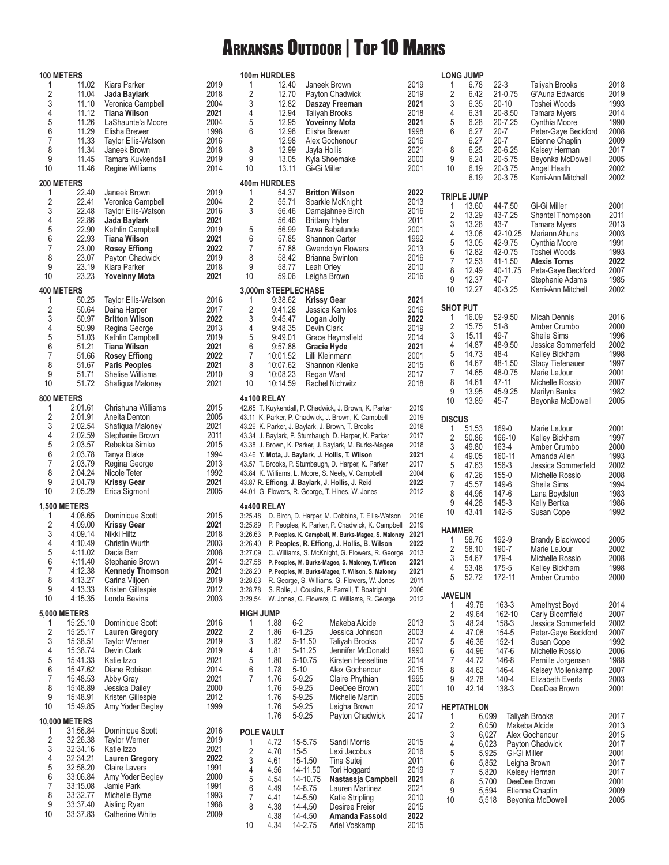# Arkansas Outdoor | Top 10 Marks

|                     | <b>100 METERS</b>     |                                            |              | 100m HURDLES                       |                     |                       |                                                                                                          |              |
|---------------------|-----------------------|--------------------------------------------|--------------|------------------------------------|---------------------|-----------------------|----------------------------------------------------------------------------------------------------------|--------------|
| 1<br>$\overline{2}$ | 11.02<br>11.04        | Kiara Parker                               | 2019<br>2018 | 1<br>2                             | 12.40<br>12.70      |                       | Janeek Brown                                                                                             | 2019<br>2019 |
| 3                   | 11.10                 | Jada Baylark<br>Veronica Campbell          | 2004         | 3                                  | 12.82               |                       | Payton Chadwick<br>Daszay Freeman                                                                        | 2021         |
| $\overline{4}$      | 11.12                 | <b>Tiana Wilson</b>                        | 2021         | 4                                  | 12.94               |                       | <b>Taliyah Brooks</b>                                                                                    | 2018         |
| 5<br>6              | 11.26<br>11.29        | LaShaunte'a Moore<br>Elisha Brewer         | 2004<br>1998 | 5<br>6                             | 12.95<br>12.98      |                       | <b>Yoveinny Mota</b><br>Elisha Brewer                                                                    | 2021<br>1998 |
| 7                   | 11.33                 | Taylor Ellis-Watson                        | 2016         |                                    | 12.98               |                       | Alex Gochenour                                                                                           | 2016         |
| 8                   | 11.34                 | Janeek Brown                               | 2018         | 8                                  | 12.99               |                       | Jayla Hollis                                                                                             | 2021         |
| 9                   | 11.45                 | Tamara Kuykendall                          | 2019         | 9                                  | 13.05               |                       | Kyla Shoemake                                                                                            | 2000         |
| 10                  | 11.46                 | Regine Williams                            | 2014         | 10                                 | 13.11               |                       | Gi-Gi Miller                                                                                             | 2001         |
| 1                   | 200 METERS<br>22.40   | Janeek Brown                               | 2019         | 400m HURDLES<br>1                  | 54.37               |                       | <b>Britton Wilson</b>                                                                                    | 2022         |
| $\overline{2}$      | 22.41                 | Veronica Campbell                          | 2004         | $\sqrt{2}$                         | 55.71               |                       | Sparkle McKnight                                                                                         | 2013         |
| 3<br>4              | 22.48<br>22.86        | <b>Taylor Ellis-Watson</b><br>Jada Baylark | 2016         | 3                                  | 56.46<br>56.46      |                       | Damajahnee Birch<br><b>Brittany Hyter</b>                                                                | 2016<br>2011 |
| 5                   | 22.90                 | Kethlin Campbell                           | 2021<br>2019 | 5                                  | 56.99               |                       | Tawa Babatunde                                                                                           | 2001         |
| 6                   | 22.93                 | <b>Tiana Wilson</b>                        | 2021         | 6                                  | 57.85               |                       | Shannon Carter                                                                                           | 1992         |
| 7<br>8              | 23.00<br>23.07        | <b>Rosey Effiong</b>                       | 2022<br>2019 | $\overline{7}$<br>8                | 57.88<br>58.42      |                       | Gwendolyn Flowers                                                                                        | 2013<br>2016 |
| 9                   | 23.19                 | Payton Chadwick<br>Kiara Parker            | 2018         | 9                                  | 58.77               |                       | Brianna Swinton<br>Leah Orley                                                                            | 2010         |
| 10                  | 23.23                 | <b>Yoveinny Mota</b>                       | 2021         | 10                                 | 59.06               |                       | Leigha Brown                                                                                             | 2016         |
|                     | <b>400 METERS</b>     |                                            |              |                                    |                     | 3,000m STEEPLECHASE   |                                                                                                          |              |
| 1<br>$\overline{2}$ | 50.25<br>50.64        | Taylor Ellis-Watson<br>Daina Harper        | 2016<br>2017 | 1<br>$\overline{2}$                | 9:38.62<br>9:41.28  |                       | <b>Krissy Gear</b>                                                                                       | 2021<br>2016 |
| 3                   | 50.97                 | <b>Britton Wilson</b>                      | 2022         | 3                                  | 9:45.47             |                       | Jessica Kamilos<br>Logan Jolly                                                                           | 2022         |
| 4                   | 50.99                 | Regina George                              | 2013         | 4                                  | 9:48.35             |                       | Devin Clark                                                                                              | 2019         |
| 5                   | 51.03                 | Kethlin Campbell                           | 2019         | 5                                  | 9:49.01             |                       | Grace Heymsfield                                                                                         | 2014         |
| 6<br>7              | 51.21<br>51.66        | <b>Tiana Wilson</b><br>Rosey Effiong       | 2021<br>2022 | $\boldsymbol{6}$<br>$\overline{7}$ | 9:57.88<br>10:01.52 |                       | Gracie Hyde<br>Lilli Kleinmann                                                                           | 2021<br>2001 |
| 8                   | 51.67                 | <b>Paris Peoples</b>                       | 2021         | 8                                  | 10:07.62            |                       | Shannon Klenke                                                                                           | 2015         |
| 9                   | 51.71                 | <b>Shelise Williams</b>                    | 2010         | 9                                  | 10:08.23            |                       | Regan Ward                                                                                               | 2017         |
| 10                  | 51.72                 | Shafiqua Maloney                           | 2021         | 10                                 | 10:14.59            |                       | Rachel Nichwitz                                                                                          | 2018         |
| 1                   | 800 METERS<br>2:01.61 | Chrishuna Williams                         | 2015         | 4x100 RELAY                        |                     |                       | 42.65 T. Kuykendall, P. Chadwick, J. Brown, K. Parker                                                    | 2019         |
| $\overline{2}$      | 2:01.91               | Aneita Denton                              | 2005         |                                    |                     |                       | 43.11 K. Parker, P. Chadwick, J. Brown, K. Campbell                                                      | 2019         |
| 3                   | 2:02.54               | Shafiqua Maloney                           | 2021         |                                    |                     |                       | 43.26 K. Parker, J. Baylark, J. Brown, T. Brooks                                                         | 2018         |
| 4<br>5              | 2:02.59<br>2:03.57    | Stephanie Brown<br>Rebekka Simko           | 2011<br>2015 |                                    |                     |                       | 43.34 J. Baylark, P. Stumbaugh, D. Harper, K. Parker                                                     | 2017<br>2018 |
| 6                   | 2:03.78               | Tanya Blake                                | 1994         |                                    |                     |                       | 43.38 J. Brown, K. Parker, J. Baylark, M. Burks-Magee<br>43.46 Y. Mota, J. Baylark, J. Hollis, T. Wilson | 2021         |
| 7                   | 2:03.79               | Regina George                              | 2013         |                                    |                     |                       | 43.57 T. Brooks, P. Stumbaugh, D. Harper, K. Parker                                                      | 2017         |
| 8<br>9              | 2:04.24<br>2:04.79    | Nicole Teter<br><b>Krissy Gear</b>         | 1992<br>2021 |                                    |                     |                       | 43.84 K. Williams, L. Moore, S. Neely, V. Campbell                                                       | 2004<br>2022 |
| 10                  | 2:05.29               | Erica Sigmont                              | 2005         |                                    |                     |                       | 43.87 R. Effiong, J. Baylark, J. Hollis, J. Reid<br>44.01 G. Flowers, R. George, T. Hines, W. Jones      | 2012         |
|                     | <b>1,500 METERS</b>   |                                            |              | 4x400 RELAY                        |                     |                       |                                                                                                          |              |
| 1                   | 4:08.65               | Dominique Scott                            | 2015         |                                    |                     |                       | 3:25.48 D. Birch, D. Harper, M. Dobbins, T. Ellis-Watson                                                 | 2016         |
| $\overline{2}$<br>3 | 4:09.00               | <b>Krissy Gear</b>                         | 2021         |                                    |                     |                       | 3:25.89 P. Peoples, K. Parker, P. Chadwick, K. Campbell                                                  | 2019         |
| 4                   | 4:09.14<br>4:10.49    | Nikki Hiltz<br>Christin Wurth              | 2018<br>2003 | 3:26.63<br>3:26.40                 |                     |                       | P. Peoples. K. Campbell, M. Burks-Magee, S. Maloney<br>P. Peoples, R. Effiong, J. Hollis, B. Wilson      | 2021<br>2022 |
| 5                   | 4:11.02               | Dacia Barr                                 | 2008         | 3:27.09                            |                     |                       | C. Williams, S. McKnight, G. Flowers, R. George                                                          | 2013         |
| 6                   | 4:11.40               | Stephanie Brown                            | 2014         | 3:27.58                            |                     |                       | P. Peoples, M. Burks-Magee, S. Maloney, T. Wilson                                                        | 2021         |
| 7<br>8              | 4:12.38<br>4:13.27    | <b>Kennedy Thomson</b><br>Carina Viljoen   | 2021<br>2019 | 3:28.20<br>3:28.63                 |                     |                       | P. Peoples, M. Burks-Magee, T. Wilson, S. Maloney<br>R. George, S. Williams, G. Flowers, W. Jones        | 2021<br>2011 |
| 9                   | 4:13.33               | Kristen Gillespie                          | 2012         | 3:28.78                            |                     |                       | S. Rolle, J. Cousins, P. Farrell, T. Boatright                                                           | 2006         |
| 10                  | 4:15.35               | Londa Bevins                               | 2003         | 3:29.54                            |                     |                       | W. Jones, G. Flowers, C. Williams, R. George                                                             | 2012         |
|                     | <b>5,000 METERS</b>   |                                            |              | <b>HIGH JUMP</b>                   |                     |                       |                                                                                                          |              |
| 1<br>$\overline{2}$ | 15:25.10<br>15:25.17  | Dominique Scott<br><b>Lauren Gregory</b>   | 2016<br>2022 | 1<br>$\sqrt{2}$                    | 1.88<br>1.86        | $6 - 2$<br>$6 - 1.25$ | Makeba Alcide<br>Jessica Johnson                                                                         | 2013<br>2003 |
| 3                   | 15:38.51              | <b>Taylor Werner</b>                       | 2019         | 3                                  | 1.82                | 5-11.50               | Taliyah Brooks                                                                                           | 2017         |
| 4                   | 15:38.74              | Devin Clark                                | 2019         | 4                                  | 1.81                | 5-11.25               | Jennifer McDonald                                                                                        | 1990         |
| 5<br>6              | 15:41.33<br>15:47.62  | Katie Izzo<br>Diane Robison                | 2021<br>2014 | 5<br>6                             | 1.80<br>1.78        | 5-10.75<br>$5 - 10$   | Kirsten Hesseltine<br>Alex Gochenour                                                                     | 2014<br>2015 |
| 7                   | 15:48.53              | Abby Gray                                  | 2021         | 7                                  | 1.76                | 5-9.25                | Claire Phythian                                                                                          | 1995         |
| 8                   | 15:48.89              | Jessica Dailey                             | 2000         |                                    | 1.76                | 5-9.25                | DeeDee Brown                                                                                             | 2001         |
| 9<br>10             | 15:48.91<br>15:49.85  | Kristen Gillespie<br>Amy Yoder Begley      | 2012<br>1999 |                                    | 1.76<br>1.76        | 5-9.25<br>5-9.25      | Michelle Martin<br>Leigha Brown                                                                          | 2005<br>2017 |
|                     | <b>10,000 METERS</b>  |                                            |              |                                    | 1.76                | 5-9.25                | Payton Chadwick                                                                                          | 2017         |
| 1                   | 31:56.84              | Dominique Scott                            | 2016         | POLE VAULT                         |                     |                       |                                                                                                          |              |
| $\sqrt{2}$          | 32:26.38              | <b>Taylor Werner</b>                       | 2019         | 1                                  | 4.72                | 15-5.75               | Sandi Morris                                                                                             | 2015         |
| 3<br>4              | 32:34.16<br>32:34.21  | Katie Izzo<br><b>Lauren Gregory</b>        | 2021<br>2022 | $\sqrt{2}$                         | 4.70                | $15 - 5$              | Lexi Jacobus                                                                                             | 2016         |
| $\sqrt{5}$          | 32:58.20              | <b>Claire Lavers</b>                       | 1991         | 3<br>4                             | 4.61<br>4.56        | 15-1.50<br>14-11.50   | Tina Sutej<br>Tori Hoggard                                                                               | 2011<br>2019 |
| 6                   | 33:06.84              | Amy Yoder Begley                           | 2000         | 5                                  | 4.54                | 14-10.75              | Nastassja Campbell                                                                                       | 2021         |
| $\overline{7}$<br>8 | 33:15.08<br>33:32.77  | Jamie Park<br>Michelle Byrne               | 1991<br>1993 | 6                                  | 4.49                | 14-8.75               | Lauren Martinez                                                                                          | 2021         |
| 9                   | 33:37.40              | Aisling Ryan                               | 1988         | 7<br>8                             | 4.41<br>4.38        | 14-5.50<br>14-4.50    | Katie Stripling<br>Desiree Freier                                                                        | 2010<br>2015 |
| 10                  | 33:37.83              | Catherine White                            | 2009         |                                    | 4.38                | 14-4.50               | Amanda Fassold                                                                                           | 2022         |
|                     |                       |                                            |              | 10                                 | 4.34                | 14-2.75               | Ariel Voskamp                                                                                            | 2015         |

|                      | <b>LONG JUMP</b>           |                |                    |                                              |              |
|----------------------|----------------------------|----------------|--------------------|----------------------------------------------|--------------|
| 1<br>2               | 6.78<br>6.42               | 22-3           | 21-0.75            | <b>Taliyah Brooks</b><br>G'Auna Edwards      | 2018<br>2019 |
| 3<br>4               | 6.35<br>6.31               | 20-10          | 20-8.50            | Toshei Woods<br>Tamara Myers                 | 1993<br>2014 |
| 5<br>6               | 6.28<br>6.27               | 20-7           | 20-7.25            | Cynthia Moore<br>Peter-Gaye Beckford         | 1990<br>2008 |
| 8                    | 6.27<br>6.25               | 20-7           | 20-6.25            | Etienne Chaplin<br>Kelsey Herman             | 2009<br>2017 |
| 9                    | 6.24                       |                | 20-5.75            | Beyonka McDowell                             | 2005         |
| 10                   | 6.19<br>6.19               |                | 20-3.75<br>20-3.75 | Angel Heath<br>Kerri-Ann Mitchell            | 2002<br>2002 |
|                      | TRIPLE JUMP                |                |                    |                                              |              |
| 1<br>$\overline{c}$  | 13.60<br>13.29             |                | 44-7.50<br>43-7.25 | Gi-Gi Miller<br>Shantel Thompson             | 2001<br>2011 |
| 3<br>4               | 13.28<br>13.06             | 43-7           | 42-10.25           | <b>Tamara Myers</b><br>Mariann Ahuna         | 2013<br>2003 |
| 5<br>6               | 13.05<br>12.82             |                | 42-9.75<br>42-0.75 | Cynthia Moore<br>Toshei Woods                | 1991<br>1993 |
| 7                    | 12.53<br>12.49             |                | 41-1.50            | <b>Alexis Torns</b>                          | 2022         |
| 8<br>9               | 12.37                      | 40-7           | 40-11.75           | Peta-Gaye Beckford<br>Stephanie Adams        | 2007<br>1985 |
| 10                   | 12.27                      |                | 40-3.25            | Kerri-Ann Mitchell                           | 2002         |
| <b>SHOT PUT</b><br>1 | 16.09                      |                | 52-9.50            | Micah Dennis                                 | 2016         |
| $\overline{c}$<br>3  | 15.75<br>15.11             | $51-8$<br>49-7 |                    | Amber Crumbo<br>Sheila Sims                  | 2000<br>1996 |
| 4<br>5               | 14.87<br>14.73             | 48-4           | 48-9.50            | Jessica Sommerfeld<br>Kelley Bickham         | 2002<br>1998 |
| 6<br>7               | 14.67                      |                | 48-1.50            | <b>Stacy Tiefenauer</b><br>Marie LeJour      | 1997         |
| 8                    | 14.65<br>14.61             | 47-11          | 48-0.75            | Michelle Rossio                              | 2001<br>2007 |
| 9<br>10              | 13.95<br>13.89             | 45-7           | 45-9.25            | Marilyn Banks<br>Beyonka McDowell            | 1982<br>2005 |
| <b>DISCUS</b>        |                            |                |                    |                                              |              |
| 1<br>$\overline{c}$  | 51.53<br>50.86             | 169-0          | 166-10             | Marie LeJour<br>Kelley Bickham               | 2001<br>1997 |
| 3<br>4               | 49.80<br>49.05             | 163-4          | 160-11             | Amber Crumbo<br>Amanda Allen                 | 2000<br>1993 |
| 5<br>6               | 47.63<br>47.26             | 156-3<br>155-0 |                    | Jessica Sommerfeld<br>Michelle Rossio        | 2002<br>2008 |
| 7                    | 45.57                      | 149-6          |                    | Sheila Sims                                  | 1994         |
| 8<br>9               | 44.96<br>44.28             | 147-6<br>145-3 |                    | Lana Boydstun<br>Kelly Bertka                | 1983<br>1986 |
| 10                   | 43.41                      | 142-5          |                    | Susan Cope                                   | 1992         |
| <b>HAMMER</b><br>1   | 58.76                      | 192-9          |                    | Brandy Blackwood                             | 2005         |
| $\overline{2}$<br>3  | 58.10<br>54.67             | 190-7<br>179-4 |                    | Marie LeJour<br>Michelle Rossio              | 2002<br>2008 |
| 4<br>5               | 53.48<br>52.72             | 175-5          | 172-11             | Kelley Bickham<br>Amber Crumbo               | 1998<br>2000 |
| <b>JAVELIN</b>       |                            |                |                    |                                              |              |
| 1<br>$\overline{c}$  | 49.76<br>49.64             |                | 163-3<br>162-10    | Amethyst Boyd<br>Carly Bloomfield            | 2014<br>2007 |
| 3                    | 48.24                      |                | 158-3              | Jessica Sommerfeld                           | 2002         |
| 4<br>5               | 47.08<br>46.36             |                | 154-5<br>152-1     | Peter-Gaye Beckford<br>Susan Cope            | 2007<br>1992 |
| 6<br>7               | 44.96<br>44.72             |                | 147-6<br>146-8     | Michelle Rossio<br>Pernille Jorgensen        | 2006<br>1988 |
| 8<br>9               | 44.62<br>42.78             |                | 146-4<br>140-4     | Kelsey Mollenkamp<br><b>Elizabeth Everts</b> | 2007<br>2003 |
| 10                   | 42.14                      |                | 138-3              | DeeDee Brown                                 | 2001         |
| 1                    | <b>HEPTATHLON</b><br>6,099 |                |                    | Taliyah Brooks                               | 2017         |
| $\overline{c}$       | 6,050                      |                |                    | Makeba Alcide                                | 2013         |
| 3<br>4               | 6,027<br>6,023             |                |                    | Alex Gochenour<br>Payton Chadwick            | 2015<br>2017 |
| 5<br>6               | 5,925<br>5,852             |                | Gi-Gi Miller       | Leigha Brown                                 | 2001<br>2017 |
| 7<br>8               | 5,820<br>5,700             |                |                    | Kelsey Herman<br>DeeDee Brown                | 2017<br>2001 |
| 9<br>10              | 5,594<br>5,518             |                |                    | Etienne Chaplin<br>Beyonka McDowell          | 2009<br>2005 |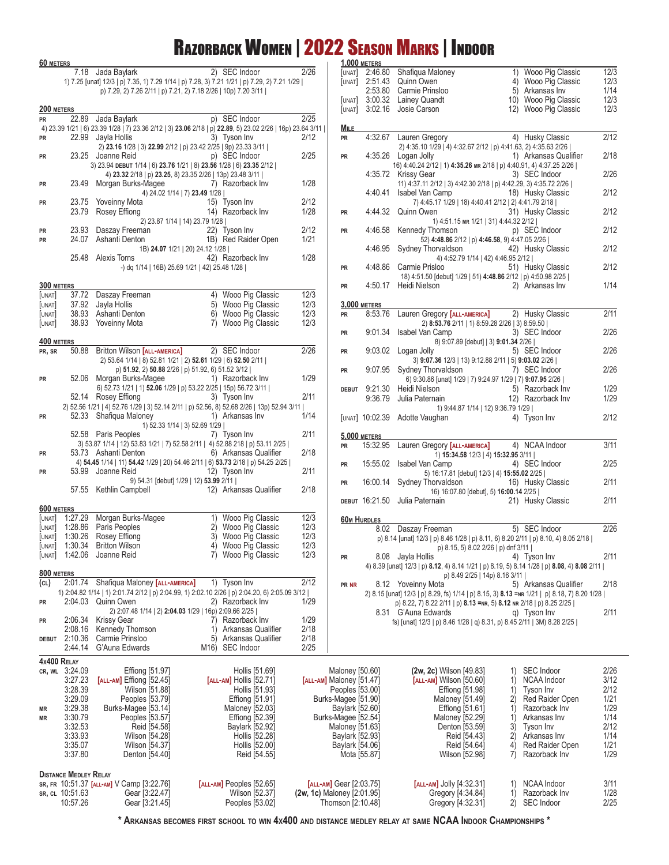### Razorback Women | 2022 Season Marks | Indoor

| 60 METERS            |                              |                                                              |                                                                                                                                            |              |                                                       | <b>1,000 METERS</b>      |                                                                                                                                                                         |                                                                    |                      |
|----------------------|------------------------------|--------------------------------------------------------------|--------------------------------------------------------------------------------------------------------------------------------------------|--------------|-------------------------------------------------------|--------------------------|-------------------------------------------------------------------------------------------------------------------------------------------------------------------------|--------------------------------------------------------------------|----------------------|
|                      |                              | 7.18 Jada Baylark                                            | 2) SEC Indoor<br>1) 7.25 [unat] 12/3   p) 7.35, 1) 7.29 1/14   p) 7.28, 3) 7.21 1/21   p) 7.29, 2) 7.21 1/29                               | 2/26         | [UNAT]<br>[UNAT]                                      | 2:46.80<br>2:51.43       | Shafiqua Maloney<br>Quinn Owen                                                                                                                                          | 1) Wooo Pig Classic<br>4) Wooo Pig Classic                         | 12/3<br>12/3         |
|                      |                              |                                                              | p) 7.29, 2) 7.26 2/11   p) 7.21, 2) 7.18 2/26   10p) 7.20 3/11                                                                             |              | [UNAT]                                                | 2:53.80                  | Carmie Prinsloo<br>3:00.32 Lainey Quandt                                                                                                                                | 5) Arkansas Inv<br>10) Wooo Pig Classic                            | 1/14<br>12/3         |
| 200 METERS           |                              |                                                              |                                                                                                                                            |              | [UNAT]                                                | 3:02.16                  | Josie Carson                                                                                                                                                            | 12) Wooo Pig Classic                                               | 12/3                 |
| PR                   | 22.89                        | Jada Baylark                                                 | p) SEC Indoor<br>4) 23.39 1/21   6) 23.39 1/28   7) 23.36 2/12   3) 23.06 2/18   p) 22.89, 5) 23.02 2/26   16p) 23.64 3/11                 | 2/25         | <b>MILE</b>                                           |                          |                                                                                                                                                                         |                                                                    |                      |
| PR                   |                              | 22.99 Jayla Hollis                                           | 3) Tyson Inv<br>2) 23.16 1/28   3) 22.99 2/12   p) 23.42 2/25   9p) 23.33 3/11                                                             | 2/12         | <b>PR</b>                                             | 4:32.67                  | Lauren Gregory<br>2) 4:35.10 1/29   4) 4:32.67 2/12   p) 4:41.63, 2) 4:35.63 2/26                                                                                       | 4) Husky Classic                                                   | 2/12                 |
| PR                   |                              | 23.25 Joanne Reid                                            | p) SEC Indoor<br>3) 23.94 DEBUT 1/14   6) 23.76 1/21   8) 23.56 1/28   6) 23.35 2/12                                                       | 2/25         | PR                                                    |                          | 4:35.26 Logan Jolly<br>16) 4:40.24 2/12   1) 4:35.26 MR 2/18   p) 4:40.91, 4) 4:37.25 2/26                                                                              | 1) Arkansas Qualifier                                              | 2/18                 |
| PR                   |                              | 23.49 Morgan Burks-Magee                                     | 4) 23.32 2/18   p) 23.25, 8) 23.35 2/26   13p) 23.48 3/11  <br>7) Razorback Inv<br>4) 24.02 1/14   7) 23.49 1/28                           | 1/28         |                                                       | 4:40.41                  | 4:35.72 Krissy Gear<br>11) 4:37.11 2/12   3) 4:42.30 2/18   p) 4:42.29, 3) 4:35.72 2/26  <br>Isabel Van Camp                                                            | 3) SEC Indoor<br>18) Husky Classic                                 | 2/26<br>2/12         |
| PR                   | 23.75<br>23.79               | Yoveinny Mota<br>Rosey Effiong                               | 15) Tyson Inv<br>14) Razorback Inv                                                                                                         | 2/12<br>1/28 | PR                                                    |                          | 7) 4:45.17 1/29   18) 4:40.41 2/12   2) 4:41.79 2/18  <br>4:44.32 Quinn Owen                                                                                            | 31) Husky Classic                                                  | 2/12                 |
| PR                   | 23.93                        | Daszay Freeman                                               | 2) 23.87 1/14   14) 23.79 1/28  <br>22) Tyson Inv                                                                                          | 2/12         | PR                                                    | 4:46.58                  | 1) 4:51.15 MR 1/21   31) 4:44.32 2/12  <br>Kennedy Thomson                                                                                                              | p) SEC Indoor                                                      | 2/12                 |
| PR                   | 24.07                        | Ashanti Denton                                               | 1B) Red Raider Open<br>1B) 24.07 1/21   20) 24.12 1/28                                                                                     | 1/21         |                                                       | 4:46.95                  | 52) 4:48.86 2/12   p) 4:46.58, 9) 4:47.05 2/26  <br><b>Sydney Thorvaldson</b>                                                                                           | 42) Husky Classic                                                  | 2/12                 |
|                      |                              | 25.48 Alexis Torns                                           | 42) Razorback Inv<br>-) dq 1/14   16B) 25.69 1/21   42) 25.48 1/28                                                                         | 1/28         | PR                                                    | 4:48.86                  | 4) 4:52.79 1/14   42) 4:46.95 2/12  <br>Carmie Prisloo<br>18) 4:51.50 [debut] 1/29   51) 4:48.86 2/12   p) 4:50.98 2/25                                                 | 51) Husky Classic                                                  | 2/12                 |
| 300 METERS<br>[UNAT] | 37.72                        | Daszay Freeman                                               | Wooo Pig Classic<br>4)                                                                                                                     | 12/3         | PR                                                    | 4:50.17                  | Heidi Nielson                                                                                                                                                           | 2) Arkansas Inv                                                    | 1/14                 |
| [UNAT]               |                              | 37.92 Jayla Hollis                                           | 5) Wooo Pig Classic                                                                                                                        | 12/3         |                                                       | 3,000 METERS             |                                                                                                                                                                         |                                                                    |                      |
| [UNAT]<br>[UNAT]     |                              | 38.93 Ashanti Denton<br>38.93 Yoveinny Mota                  | 6) Wooo Pig Classic<br>7) Wooo Pig Classic                                                                                                 | 12/3<br>12/3 | PR                                                    | 8:53.76                  | Lauren Gregory [ALL-AMERICA]<br>2) 8:53.76 2/11   1) 8:59.28 2/26   3) 8:59.50                                                                                          | 2) Husky Classic                                                   | 2/11                 |
| 400 METERS           |                              |                                                              |                                                                                                                                            |              | PR                                                    | 9:01.34                  | Isabel Van Camp<br>8) 9:07.89 [debut]   3) 9:01.34 2/26                                                                                                                 | 3) SEC Indoor                                                      | 2/26                 |
| PR, SR               |                              | 50.88 Britton Wilson [ALL-AMERICA]                           | 2) SEC Indoor<br>2) 53.64 1/14   8) 52.81 1/21   2) 52.61 1/29   6) 52.50 2/11                                                             | 2/26         | PR                                                    |                          | 9:03.02 Logan Jolly<br>3) 9:07.36 12/3   13) 9:12.88 2/11   5) 9:03.02 2/26                                                                                             | 5) SEC Indoor                                                      | 2/26<br>2/26         |
| PR                   |                              | 52.06 Morgan Burks-Magee                                     | p) 51.92, 2) 50.88 2/26   p) 51.92, 6) 51.52 3/12  <br>1) Razorback Inv<br>6) 52.73 1/21   1) 52.06 1/29   p) 53.22 2/25   15p) 56.72 3/11 | 1/29         | <b>PR</b>                                             | 9:07.95                  | Sydney Thorvaldson<br>6) 9:30.86 [unat] 1/29   7) 9:24.97 1/29   7) 9:07.95 2/26  <br>9:21.30 Heidi Nielson                                                             | 7) SEC Indoor<br>5) Razorback Inv                                  | 1/29                 |
|                      |                              | 52.14 Rosey Effiong                                          | 3) Tyson Inv<br>2) 52.56 1/21   4) 52.76 1/29   3) 52.14 2/11   p) 52.56, 8) 52.68 2/26   13p) 52.94 3/11                                  | 2/11         | <b>DEBUT</b>                                          | 9:36.79                  | Julia Paternain<br>1) 9:44.87 1/14   12) 9:36.79 1/29                                                                                                                   | 12) Razorback Inv                                                  | 1/29                 |
| PR                   |                              | 52.33 Shafiqua Maloney                                       | 1) Arkansas Inv<br>1) 52.33 1/14   3) 52.69 1/29                                                                                           | 1/14         |                                                       |                          | [UNAT] 10:02.39 Adotte Vaughan                                                                                                                                          | 4) Tyson Inv                                                       | 2/12                 |
|                      |                              | 52.58 Paris Peoples                                          | 7) Tyson Inv<br>3) 53.87 1/14   12) 53.83 1/21   7) 52.58 2/11   4) 52.88 218   p) 53.11 2/25                                              | 2/11         | <b>PR</b>                                             | 5,000 METERS<br>15:32.95 | Lauren Gregory [ALL-AMERICA]                                                                                                                                            | 4) NCAA Indoor                                                     | 3/11                 |
| PR<br>PR             |                              | 53.73 Ashanti Denton<br>53.99 Joanne Reid                    | 6) Arkansas Qualifier<br>4) 54.45 1/14   11) 54.42 1/29   20) 54.46 2/11   6) 53.73 2/18   p) 54.25 2/25  <br>12) Tyson Inv                | 2/18<br>2/11 | PR                                                    | 15:55.02                 | 1) 15:34.58 12/3   4) 15:32.95 3/11  <br>Isabel Van Camp                                                                                                                | 4) SEC Indoor                                                      | 2/25                 |
|                      | 57.55                        | Kethlin Campbell                                             | 9) 54.31 [debut] 1/29   12) 53.99 2/11  <br>12) Arkansas Qualifier                                                                         | 2/18         | PR                                                    | 16:00.14                 | 5) 16:17.81 [debut] 12/3   4) 15:55.02 2/25  <br>Sydney Thorvaldson<br>16) 16:07.80 [debut], 5) 16:00.14 2/25                                                           | 16) Husky Classic                                                  | 2/11                 |
|                      |                              |                                                              |                                                                                                                                            |              |                                                       | DEBUT 16:21.50           | Julia Paternain                                                                                                                                                         | 21) Husky Classic                                                  | 2/11                 |
| 600 METERS<br>UNAT]  | 1:27.29                      | Morgan Burks-Magee                                           | 1) Wooo Pig Classic                                                                                                                        | 12/3         | <b>60M HURDLES</b>                                    |                          |                                                                                                                                                                         |                                                                    |                      |
| [UNAT]<br>[UNAT]     | 1:28.86                      | Paris Peoples<br>1:30.26 Rosey Effiong                       | 2) Wooo Pig Classic<br>3) Wooo Pig Classic                                                                                                 | 12/3<br>12/3 |                                                       |                          | 8.02 Daszay Freeman<br>p) 8.14 [unat] 12/3   p) 8.46 1/28   p) 8.11, 6) 8.20 2/11   p) 8.10, 4) 8.05 2/18                                                               | 5) SEC Indoor                                                      | 2/26                 |
|                      |                              | [UNAT] 1:30.34 Britton Wilson<br>[UNAT] 1:42.06 Joanne Reid  | 4) Wooo Pig Classic<br>7) Wooo Pig Classic                                                                                                 | 12/3<br>12/3 | PR                                                    |                          | p) 8.15, 5) 8.02 2/26   p) dnf 3/11  <br>8.08 Jayla Hollis                                                                                                              | 4) Tyson Inv                                                       | 2/11                 |
| 800 METERS           |                              |                                                              |                                                                                                                                            |              |                                                       |                          | 4) 8.39 [unat] 12/3   p) 8.12, 4) 8.14 1/21   p) 8.19, 5) 8.14 1/28   p) 8.08, 4) 8.08 2/11  <br>p) 8.49 2/25   14p) 8.16 3/11                                          |                                                                    |                      |
| (CL)                 |                              | 2:01.74 Shafiqua Maloney [ALL-AMERICA]<br>2:04.03 Quinn Owen | 1) Tyson Inv<br>1) 2:04.82 1/14   1) 2:01.74 2/12   p) 2:04.99, 1) 2:02.10 2/26   p) 2:04.20, 6) 2:05.09 3/12  <br>2) Razorback Inv        | 2/12<br>1/29 | PR NR                                                 |                          | 8.12 Yoveinny Mota<br>2) 8.15 [unat] 12/3   p) 8.29, fs) 1/14   p) 8.15, 3) 8.13 = NR 1/21   p) 8.18, 7) 8.20 1/28                                                      | 5) Arkansas Qualifier                                              | 2/18                 |
| PR<br>PR             | 2:06.34                      | <b>Krissy Gear</b>                                           | 2) 2:07.48 1/14   2) 2:04.03 1/29   16p) 2:09.66 2/25  <br>7) Razorback Inv                                                                | 1/29         |                                                       |                          | p) 8.22, 7) 8.22 2/11   p) 8.13 = NR, 5) 8.12 NR 2/18   p) 8.25 2/25  <br>8.31 G'Auna Edwards<br>fs) [unat] 12/3   p) 8.46 1/28   q) 8.31, p) 8.45 2/11   3M) 8.28 2/25 | q) Tyson Inv                                                       | 2/11                 |
| <b>DEBUT</b>         | 2:08.16<br>2:10.36           | Kennedy Thomson<br>Carmie Prinsloo                           | Arkansas Qualifier<br>1)<br>5) Arkansas Qualifier                                                                                          | 2/18<br>2/18 |                                                       |                          |                                                                                                                                                                         |                                                                    |                      |
| 4x400 RELAY          | 2:44.14                      | G'Auna Edwards                                               | M <sub>16</sub> ) SEC Indoor                                                                                                               | 2/25         |                                                       |                          |                                                                                                                                                                         |                                                                    |                      |
| CR, WL 3:24.09       | 3:27.23                      | Effiong [51.97]<br>[ALL-AM] Effiong [52.45]                  | Hollis [51.69]<br>[ALL-AM] Hollis [52.71]                                                                                                  |              | Maloney [50.60]<br>[ALL-AM] Maloney [51.47]           |                          | (2w, 2c) Wilson [49.83]<br>[ALL-AM] Wilson [50.60]                                                                                                                      | SEC Indoor<br>1)<br>NCAA Indoor<br>1)                              | 2/26<br>3/12         |
|                      | 3:28.39<br>3:29.09           | Wilson [51.88]<br>Peoples [53.79]                            | Hollis [51.93]<br>Effiong [51.91]                                                                                                          |              | Peoples [53.00]<br>Burks-Magee [51.90]                |                          | Effiong [51.98]<br>Maloney [51.49]                                                                                                                                      | Tyson Inv<br>1)<br>Red Raider Open<br>2)                           | 2/12<br>1/21         |
| MR<br>MR             | 3:29.38<br>3:30.79           | Burks-Magee [53.14]<br>Peoples [53.57]                       | Maloney [52.03]<br>Effiong [52.39]                                                                                                         |              | Baylark [52.60]<br>Burks-Magee [52.54]                |                          | Effiong [51.61]<br>Maloney [52.29]                                                                                                                                      | 1)<br>Razorback Inv<br>Arkansas Inv<br>1)                          | 1/29<br>1/14         |
|                      | 3:32.53<br>3:33.93           | Reid [54.58]                                                 | Baylark [52.92]                                                                                                                            |              | Maloney [51.63]                                       |                          | Denton [53.59]                                                                                                                                                          | 3)<br>Tyson Inv                                                    | 2/12                 |
|                      | 3:35.07<br>3:37.80           | Wilson [54.28]<br>Wilson [54.37]<br>Denton [54.40]           | Hollis [52.28]<br>Hollis [52.00]<br>Reid [54.55]                                                                                           |              | Baylark [52.93]<br>Baylark [54.06]<br>Mota [55.87]    |                          | Reid [54.43]<br>Reid [54.64]<br>Wilson [52.98]                                                                                                                          | Arkansas Inv<br>2)<br>Red Raider Open<br>4)<br>Razorback Inv<br>7) | 1/14<br>1/21<br>1/29 |
|                      |                              |                                                              |                                                                                                                                            |              |                                                       |                          |                                                                                                                                                                         |                                                                    |                      |
|                      | <b>DISTANCE MEDLEY RELAY</b> | SR, FR 10:51.37 [ALL-AM] V Camp [3:22.76]<br>Gear [3:22.47]  | [ALL-AM] Peoples [52.65]<br>Wilson [52.37]                                                                                                 |              | [ALL-AM] Gear [2:03.75]<br>(2w, 1c) Maloney [2:01.95] |                          | [ALL-AM] Jolly [4:32.31]<br>Gregory [4:34.84]                                                                                                                           | NCAA Indoor<br>1)<br>Razorback Inv<br>1)                           | 3/11<br>1/28         |
| SR, CL 10:51.63      | 10:57.26                     | Gear [3:21.45]                                               | Peoples [53.02]                                                                                                                            |              | Thomson [2:10.48]                                     |                          | Gregory [4:32.31]                                                                                                                                                       | 2) SEC Indoor                                                      | 2/25                 |

| [UNAT]<br>[UNAT] | 3:00.32<br>3:02.16             | Lainey Quandt<br>Josie Carson                                                                        |                                       | 10) Wooo Pig Classic<br>12) Wooo Pig Classic | 12/3<br>12/3 |
|------------------|--------------------------------|------------------------------------------------------------------------------------------------------|---------------------------------------|----------------------------------------------|--------------|
| <b>MILE</b>      |                                |                                                                                                      |                                       |                                              |              |
| <b>PR</b>        | 4:32.67                        | Lauren Gregory                                                                                       |                                       | 4) Husky Classic                             | 2/12         |
|                  |                                | 2) 4:35.10 1/29   4) 4:32.67 2/12   p) 4:41.63, 2) 4:35.63 2/26                                      |                                       |                                              |              |
| <b>PR</b>        | 4:35.26                        | Logan Jolly<br>16) 4:40.24 2/12   1) 4:35.26 MR 2/18   p) 4:40.91, 4) 4:37.25 2/26                   |                                       | 1) Arkansas Qualifier                        | 2/18         |
|                  | 4:35.72                        | Krissy Gear                                                                                          |                                       | 3) SEC Indoor                                | 2/26         |
|                  |                                | 11) 4:37.11 2/12   3) 4:42.30 2/18   p) 4:42.29, 3) 4:35.72 2/26                                     |                                       |                                              |              |
|                  | 4:40.41                        | Isabel Van Camp<br>7) 4:45.17 1/29   18) 4:40.41 2/12   2) 4:41.79 2/18                              |                                       | 18) Husky Classic                            | 2/12         |
| <b>PR</b>        | 4:44.32                        | Quinn Owen                                                                                           |                                       | 31) Husky Classic                            | 2/12         |
|                  |                                |                                                                                                      | 1) 4:51.15 MR 1/21   31) 4:44.32 2/12 |                                              | 2/12         |
| PR               | 4:46.58                        | Kennedy Thomson<br>52) 4:48.86 2/12   p) 4:46.58, 9) 4:47.05 2/26                                    |                                       | p) SEC Indoor                                |              |
|                  | 4:46.95                        | Sydney Thorvaldson                                                                                   |                                       | 42) Husky Classic                            | 2/12         |
|                  |                                |                                                                                                      | 4) 4:52.79 1/14   42) 4:46.95 2/12    |                                              |              |
| <b>PR</b>        | 4:48.86                        | Carmie Prisloo<br>18) 4:51.50 [debut] 1/29   51) 4:48.86 2/12   p) 4:50.98 2/25                      |                                       | 51) Husky Classic                            | 2/12         |
| <b>PR</b>        | 4:50.17                        | Heidi Nielson                                                                                        |                                       | 2) Arkansas Inv                              | 1/14         |
|                  |                                |                                                                                                      |                                       |                                              |              |
| <b>PR</b>        | <b>3,000 METERS</b><br>8:53.76 | Lauren Gregory [ALL-AMERICA]                                                                         |                                       | 2) Husky Classic                             | 2/11         |
|                  |                                | 2) 8:53.76 2/11   1) 8:59.28 2/26   3) 8:59.50                                                       |                                       |                                              |              |
| <b>PR</b>        | 9:01.34                        | Isabel Van Camp                                                                                      |                                       | 3) SEC Indoor                                | 2/26         |
| <b>PR</b>        | 9:03.02                        | Logan Jolly                                                                                          | 8) 9:07.89 [debut]   3) 9:01.34 2/26  | 5) SEC Indoor                                | 2/26         |
|                  |                                | 3) 9:07.36 12/3   13) 9:12.88 2/11   5) 9:03.02 2/26                                                 |                                       |                                              |              |
| <b>PR</b>        | 9:07.95                        | Sydney Thorvaldson                                                                                   |                                       | 7) SEC Indoor                                | 2/26         |
| <b>DEBUT</b>     | 9:21.30                        | 6) 9:30.86 [unat] 1/29   7) 9:24.97 1/29   7) 9:07.95 2/26  <br>Heidi Nielson                        |                                       | 5) Razorback Inv                             | 1/29         |
|                  | 9:36.79                        | Julia Paternain                                                                                      |                                       | 12) Razorback Inv                            | 1/29         |
|                  |                                |                                                                                                      | 1) 9:44.87 1/14   12) 9:36.79 1/29    |                                              |              |
|                  | [UNAT] 10:02.39                | Adotte Vaughan                                                                                       |                                       | 4) Tyson Inv                                 | 2/12         |
|                  | <b>5,000 METERS</b>            |                                                                                                      |                                       |                                              |              |
| <b>PR</b>        | 15:32.95                       | Lauren Gregory [ALL-AMERICA]                                                                         |                                       | 4) NCAA Indoor                               | 3/11         |
| <b>PR</b>        | 15:55.02                       | Isabel Van Camp                                                                                      | 1) 15:34.58 12/3   4) 15:32.95 3/11   | 4) SEC Indoor                                | 2/25         |
|                  |                                | 5) 16:17.81 [debut] 12/3   4) 15:55.02 2/25                                                          |                                       |                                              |              |
| <b>PR</b>        | 16:00.14                       | Sydney Thorvaldson                                                                                   |                                       | 16) Husky Classic                            | 2/11         |
|                  | DEBUT 16:21.50                 | 16) 16:07.80 [debut], 5) 16:00.14 2/25  <br>Julia Paternain                                          |                                       | 21) Husky Classic                            | 2/11         |
|                  |                                |                                                                                                      |                                       |                                              |              |
|                  | <b>60M HURDLES</b>             |                                                                                                      |                                       |                                              |              |
|                  | 8.02                           | Daszay Freeman<br>p) 8.14 [unat] 12/3   p) 8.46 1/28   p) 8.11, 6) 8.20 2/11   p) 8.10, 4) 8.05 2/18 |                                       | 5) SEC Indoor                                | 2/26         |
|                  |                                |                                                                                                      | p) 8.15, 5) 8.02 2/26   p) dnf 3/11   |                                              |              |
| PR               | 8.08                           | Jayla Hollis                                                                                         |                                       | 4) Tyson Inv                                 | 2/11         |
|                  |                                | 4) 8.39 [unat] 12/3   p) 8.12, 4) 8.14 1/21   p) 8.19, 5) 8.14 1/28   p) 8.08, 4) 8.08 2/11          | p) 8.49 2/25   14p) 8.16 3/11         |                                              |              |
| PR NR            |                                | 8.12 Yoveinny Mota                                                                                   |                                       | 5) Arkansas Qualifier                        | 2/18         |
|                  |                                | 2) 8.15 [unat] 12/3   p) 8.29, fs) 1/14   p) 8.15, 3) 8.13 = NR 1/21   p) 8.18, 7) 8.20 1/28         |                                       |                                              |              |
|                  | 8.31                           | p) 8.22, 7) 8.22 2/11   p) 8.13 = NR, 5) 8.12 NR 2/18   p) 8.25 2/25                                 |                                       |                                              | 2/11         |
|                  |                                | G'Auna Edwards<br>fs) [unat] 12/3   p) 8.46 1/28   q) 8.31, p) 8.45 2/11   3M) 8.28 2/25             |                                       | q) Tyson Inv                                 |              |
|                  |                                |                                                                                                      |                                       |                                              |              |

**\* Arkansas becomes first school to win 4x400 and distance medley relay at same NCAA Indoor Championships \***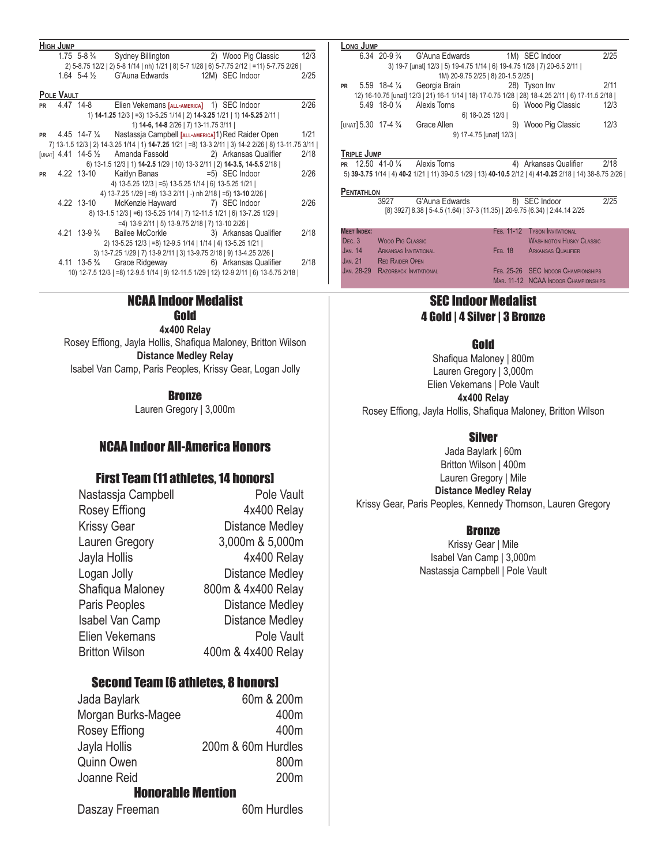|           | <b>HIGH JUMP</b> |                           |                                                                                                      |                     |      |
|-----------|------------------|---------------------------|------------------------------------------------------------------------------------------------------|---------------------|------|
|           |                  | $1.75 \t5-8 \frac{3}{4}$  | <b>Sydney Billington</b>                                                                             | 2) Wooo Pig Classic | 12/3 |
|           |                  |                           | 2) 5-8.75 12/2   2) 5-8 1/14   nh) 1/21   8) 5-7 1/28   6) 5-7.75 2/12   =11) 5-7.75 2/26            |                     |      |
|           |                  |                           | 1.64 5-4 1/ <sub>2</sub> G'Auna Edwards 12M) SEC Indoor                                              |                     | 2/25 |
|           | POLE VAULT       |                           |                                                                                                      |                     |      |
| <b>PR</b> |                  | 4.47 14-8                 | Elien Vekemans [ALL-AMERICA] 1) SEC Indoor                                                           |                     | 2/26 |
|           |                  |                           | 1) 14-1.25 12/3   =3) 13-5.25 1/14   2) 14-3.25 1/21   1) 14-5.25 2/11                               |                     |      |
|           |                  |                           | 1) 14-6, 14-8 2/26   7) 13-11.75 3/11                                                                |                     |      |
| <b>PR</b> |                  |                           | 4.45 14-7 1/4 Nastassia Campbell [ALL-AMERICA]1) Red Raider Open                                     |                     | 1/21 |
|           |                  |                           | 7) 13-1.5 12/3   2) 14-3.25 1/14   1) 14-7.25 1/21   =8) 13-3 2/11   3) 14-2 2/26   8) 13-11.75 3/11 |                     |      |
|           |                  |                           | [UNAT] $4.41$ 14-5 $\frac{1}{2}$ Amanda Fassold 2) Arkansas Qualifier                                |                     | 2/18 |
|           |                  |                           | 6) 13-1.5 12/3   1) 14-2.5 1/29   10) 13-3 2/11   2) 14-3.5, 14-5.5 2/18                             |                     |      |
| <b>PR</b> |                  | 4.22 13-10                | Kaitlyn Banas = 5) SEC Indoor                                                                        |                     | 2/26 |
|           |                  |                           | 4) 13-5.25 12/3   =6) 13-5.25 1/14   6) 13-5.25 1/21                                                 |                     |      |
|           |                  |                           | 4) 13-7.25 1/29   =8) 13-3 2/11   -) nh 2/18   =5) 13-10 2/26                                        |                     |      |
|           |                  | 4.22 13-10                | McKenzie Hayward 7) SEC Indoor                                                                       |                     | 2/26 |
|           |                  |                           | 8) 13-1.5 12/3   =6) 13-5.25 1/14   7) 12-11.5 1/21   6) 13-7.25 1/29                                |                     |      |
|           |                  |                           | =4) 13-9 2/11   5) 13-9.75 2/18   7) 13-10 2/26                                                      |                     |      |
|           |                  | $4.21$ 13-9 $\frac{3}{4}$ | Bailee McCorkle 3) Arkansas Qualifier                                                                |                     | 2/18 |
|           |                  |                           | 2) 13-5.25 12/3   =8) 12-9.5 1/14   1/14   4) 13-5.25 1/21                                           |                     |      |
|           |                  |                           | 3) 13-7.25 1/29   7) 13-9 2/11   3) 13-9.75 2/18   9) 13-4.25 2/26                                   |                     |      |
|           |                  | 4.11 13-5 $\frac{3}{4}$   | Grace Ridgeway 6) Arkansas Qualifier                                                                 |                     | 2/18 |
|           |                  |                           | 10) 12-7.5 12/3   =8) 12-9.5 1/14   9) 12-11.5 1/29   12) 12-9 2/11   6) 13-5.75 2/18                |                     |      |
|           |                  |                           |                                                                                                      |                     |      |

#### NCAA Indoor Medalist Gold

**4x400 Relay** Rosey Effiong, Jayla Hollis, Shafiqua Maloney, Britton Wilson **Distance Medley Relay** Isabel Van Camp, Paris Peoples, Krissy Gear, Logan Jolly

**Bronze** 

Lauren Gregory | 3,000m

#### NCAA Indoor All-America Honors

#### First Team (11 athletes, 14 honors]

| Nastassia Campbell    | Pole Vault             |
|-----------------------|------------------------|
| Rosey Effiong         | 4x400 Relay            |
| <b>Krissy Gear</b>    | <b>Distance Medley</b> |
| Lauren Gregory        | 3,000m & 5,000m        |
| Jayla Hollis          | 4x400 Relay            |
| Logan Jolly           | <b>Distance Medley</b> |
| Shafiqua Maloney      | 800m & 4x400 Relay     |
| Paris Peoples         | <b>Distance Medley</b> |
| Isabel Van Camp       | <b>Distance Medley</b> |
| Elien Vekemans        | Pole Vault             |
| <b>Britton Wilson</b> | 400m & 4x400 Relay     |

#### Second Team [6 athletes, 8 honors]

| Jada Baylark             | 60m & 200m         |
|--------------------------|--------------------|
| Morgan Burks-Magee       | 400m               |
| Rosey Effiong            | 400m               |
| Jayla Hollis             | 200m & 60m Hurdles |
| <b>Quinn Owen</b>        | 800m               |
| Joanne Reid              | 200 <sub>m</sub>   |
| <b>Honorable Mention</b> |                    |
| Daszay Freeman           | 60m Hurdles        |

|           | LONG JUMP   |                                  |                                                                                                  |                        |                     |      |
|-----------|-------------|----------------------------------|--------------------------------------------------------------------------------------------------|------------------------|---------------------|------|
|           |             |                                  | $6.34$ 20-9 $\frac{3}{4}$ G'Auna Edwards                                                         |                        | 1M) SEC Indoor      | 2/25 |
|           |             |                                  | 3) 19-7 [unat] 12/3   5) 19-4.75 1/14   6) 19-4.75 1/28   7) 20-6.5 2/11                         |                        |                     |      |
|           |             |                                  | 1M) 20-9.75 2/25   8) 20-1.5 2/25                                                                |                        |                     |      |
| <b>PR</b> |             | $5.59$ 18-4 $\frac{1}{4}$        | Georgia Brain                                                                                    |                        | 28) Tyson Inv       | 2/11 |
|           |             |                                  | 12) 16-10.75 [unat] 12/3   21) 16-1 1/14   18) 17-0.75 1/28   28) 18-4.25 2/11   6) 17-11.5 2/18 |                        |                     |      |
|           |             | $5.49$ 18-0 $\frac{1}{4}$        | Alexis Torns                                                                                     |                        | 6) Wooo Pig Classic | 12/3 |
|           |             |                                  |                                                                                                  | 6) 18-0.25 12/3        |                     |      |
|           |             | [UNAT] $5.30$ 17-4 $\frac{3}{4}$ | Grace Allen                                                                                      | 9)                     | Wooo Pig Classic    | 12/3 |
|           |             |                                  |                                                                                                  | 9) 17-4.75 [unat] 12/3 |                     |      |
|           | TRIPLE JUMP |                                  |                                                                                                  |                        |                     |      |
| <b>DD</b> |             | 12.50 $A1 - 0.1$                 | Alavie Torne                                                                                     | Æ١                     | Arkaneae Oualifiar  | 2/18 |

**PR** 12.50 41-0 ¼ Alexis Torns 4) Arkansas Qualifier 2/18 5) **39-3.75** 1/14 | 4) **40-2** 1/21 | 11) 39-0.5 1/29 | 13) **40-10.5** 2/12 | 4) **41-0.25** 2/18 | 14) 38-8.75 2/26 |

**PENTATHLON** 3927 G'Auna Edwards 8) SEC Indoor 2/25 [8) 3927] 8.38 | 5-4.5 (1.64) | 37-3 (11.35) | 20-9.75 (6.34) | 2:44.14 2/25

**Meet Index:** Dec. 3 Wooo Pig Classic Jan. 14 Arkansas Invitational JAN. 21 RED RAIDER OPEN Jan. 28-29 Razorback Invitational FEB. 11-12 TYSON INVITATIONAL WASHINGTON HUSKY CLASSIC FEB. 18 ARKANSAS QUALIFIER FEB. 25-26 SEC INDOOR CHAMPIONSHIPS MAR. 11-12 NCAA INDOOR CHAMPIONSHIPS

### SEC Indoor Medalist 4 Gold | 4 Silver | 3 Bronze

#### Gold

Shafiqua Maloney | 800m Lauren Gregory | 3,000m Elien Vekemans | Pole Vault **4x400 Relay** Rosey Effiong, Jayla Hollis, Shafiqua Maloney, Britton Wilson

#### Silver

Jada Baylark | 60m Britton Wilson | 400m Lauren Gregory | Mile **Distance Medley Relay** Krissy Gear, Paris Peoples, Kennedy Thomson, Lauren Gregory

#### **Bronze**

Krissy Gear | Mile Isabel Van Camp | 3,000m Nastassja Campbell | Pole Vault